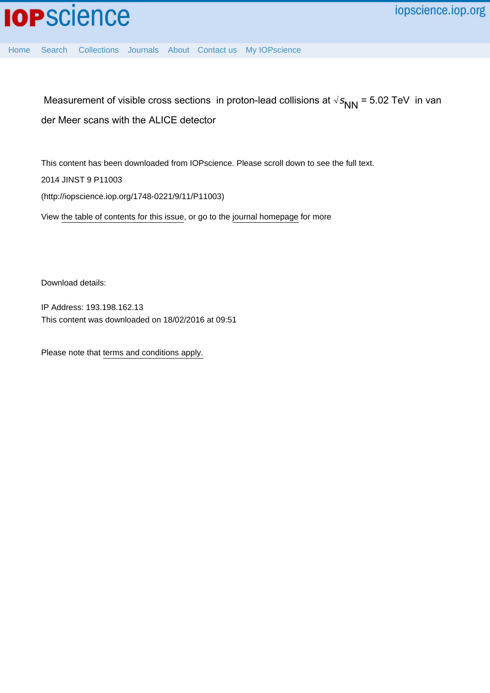

[Home](http://iopscience.iop.org/) [Search](http://iopscience.iop.org/search) [Collections](http://iopscience.iop.org/collections) [Journals](http://iopscience.iop.org/journals) [About](http://iopscience.iop.org/page/aboutioppublishing) [Contact us](http://iopscience.iop.org/contact) [My IOPscience](http://iopscience.iop.org/myiopscience)

Measurement of visible cross sections in proton-lead collisions at  $\sqrt{s_{NN}}$  = 5.02 TeV in van der Meer scans with the ALICE detector

This content has been downloaded from IOPscience. Please scroll down to see the full text. 2014 JINST 9 P11003 (http://iopscience.iop.org/1748-0221/9/11/P11003)

View [the table of contents for this issue](http://iopscience.iop.org/1748-0221/9/11), or go to the [journal homepage](http://iopscience.iop.org/1748-0221) for more

Download details:

IP Address: 193.198.162.13 This content was downloaded on 18/02/2016 at 09:51

Please note that [terms and conditions apply.](iopscience.iop.org/page/terms)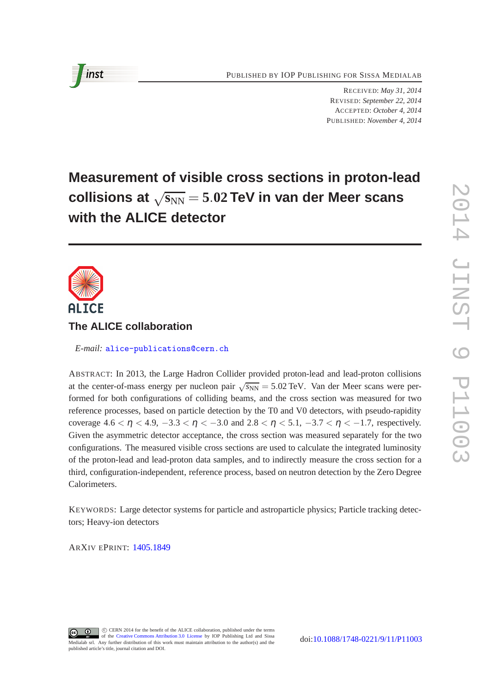PUBLISHED BY IOP PUBLISHING FOR SISSA MEDIALAB

RECEIVED: *May 31, 2014* REVISED: *September 22, 2014* ACCEPTED: *October 4, 2014* PUBLISHED: *November 4, 2014*

# **Measurement of visible cross sections in proton-lead**  $\textbf{collisions at }\sqrt{\mathbf{s}_\text{NN}}=5.02\,\textbf{TeV}$  in van der Meer scans **with the ALICE detector**



# **The ALICE collaboration**

*E-mail:* [alice-publications@cern.ch](mailto:alice-publications@cern.ch)

ABSTRACT: In 2013, the Large Hadron Collider provided proton-lead and lead-proton collisions at the center-of-mass energy per nucleon pair  $\sqrt{s_{NN}} = 5.02 \text{ TeV}$ . Van der Meer scans were performed for both configurations of colliding beams, and the cross section was measured for two reference processes, based on particle detection by the T0 and V0 detectors, with pseudo-rapidity coverage  $4.6 < \eta < 4.9, -3.3 < \eta < -3.0$  and  $2.8 < \eta < 5.1, -3.7 < \eta < -1.7$ , respectively. Given the asymmetric detector acceptance, the cross section was measured separately for the two configurations. The measured visible cross sections are used to calculate the integrated luminosity of the proton-lead and lead-proton data samples, and to indirectly measure the cross section for a third, configuration-independent, reference process, based on neutron detection by the Zero Degree Calorimeters.

KEYWORDS: Large detector systems for particle and astroparticle physics; Particle tracking detectors; Heavy-ion detectors

ARXIV EPRINT: [1405.1849](http://arxiv.org/abs/1405.1849)

C CERN 2014 for the benefit of the ALICE collaboration, published under the terms  $\odot$  $\odot$ of the [Creative Commons Attribution 3.0 License](http://creativecommons.org/licenses/by/3.0/) by IOP Publishing Ltd and Sissa Medialab srl. Any further distribution of this work must maintain attribution to the author(s) and the published article's title, journal citation and DOI.

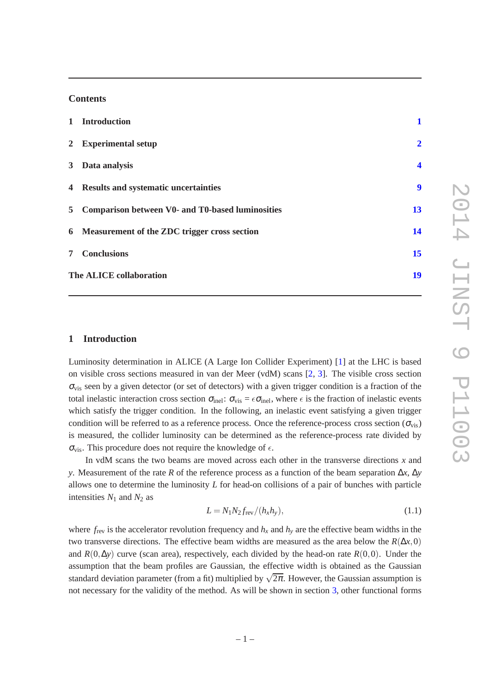### **Contents**

|                | 1 Introduction                                     | $\mathbf{1}$            |
|----------------|----------------------------------------------------|-------------------------|
|                | 2 Experimental setup                               | $\overline{2}$          |
|                | 3 Data analysis                                    | $\overline{\mathbf{4}}$ |
|                | 4 Results and systematic uncertainties             | 9                       |
|                | 5 Comparison between V0- and T0-based luminosities | 13                      |
|                | 6 Measurement of the ZDC trigger cross section     | 14                      |
| 7 <sup>7</sup> | <b>Conclusions</b>                                 | 15                      |
|                | The ALICE collaboration                            | 19                      |

## <span id="page-2-0"></span>**1 Introduction**

Luminosity determination in ALICE (A Large Ion Collider Experiment) [\[1](#page-18-0)] at the LHC is based on visible cross sections measured in van der Meer (vdM) scans [\[2,](#page-18-1) [3](#page-18-2)]. The visible cross section  $\sigma_{\text{vis}}$  seen by a given detector (or set of detectors) with a given trigger condition is a fraction of the total inelastic interaction cross section  $\sigma_{\text{inel}}$ :  $\sigma_{\text{vis}} = \epsilon \sigma_{\text{inel}}$ , where  $\epsilon$  is the fraction of inelastic events which satisfy the trigger condition. In the following, an inelastic event satisfying a given trigger condition will be referred to as a reference process. Once the reference-process cross section ( $\sigma_{vis}$ ) is measured, the collider luminosity can be determined as the reference-process rate divided by  $\sigma_{\text{vis}}$ . This procedure does not require the knowledge of  $\epsilon$ .

In vdM scans the two beams are moved across each other in the transverse directions *x* and *y*. Measurement of the rate *R* of the reference process as a function of the beam separation ∆*x*, ∆*y* allows one to determine the luminosity *L* for head-on collisions of a pair of bunches with particle intensities  $N_1$  and  $N_2$  as

<span id="page-2-1"></span>
$$
L = N_1 N_2 f_{\text{rev}} / (h_x h_y), \qquad (1.1)
$$

where  $f_{\text{rev}}$  is the accelerator revolution frequency and  $h_x$  and  $h_y$  are the effective beam widths in the two transverse directions. The effective beam widths are measured as the area below the  $R(\Delta x,0)$ and  $R(0,\Delta y)$  curve (scan area), respectively, each divided by the head-on rate  $R(0,0)$ . Under the assumption that the beam profiles are Gaussian, the effective width is obtained as the Gaussian standard deviation parameter (from a fit) multiplied by  $\sqrt{2\pi}$ . However, the Gaussian assumption is not necessary for the validity of the method. As will be shown in section [3,](#page-5-0) other functional forms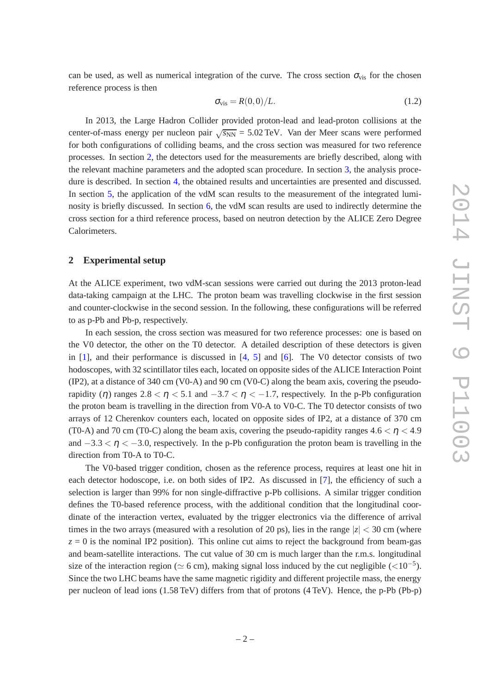can be used, as well as numerical integration of the curve. The cross section  $\sigma_{vis}$  for the chosen reference process is then

<span id="page-3-1"></span>
$$
\sigma_{\rm vis} = R(0,0)/L. \tag{1.2}
$$

In 2013, the Large Hadron Collider provided proton-lead and lead-proton collisions at the center-of-mass energy per nucleon pair  $\sqrt{s_{NN}}$  = 5.02 TeV. Van der Meer scans were performed for both configurations of colliding beams, and the cross section was measured for two reference processes. In section [2,](#page-3-0) the detectors used for the measurements are briefly described, along with the relevant machine parameters and the adopted scan procedure. In section [3,](#page-5-0) the analysis procedure is described. In section [4,](#page-10-0) the obtained results and uncertainties are presented and discussed. In section [5,](#page-14-0) the application of the vdM scan results to the measurement of the integrated luminosity is briefly discussed. In section [6,](#page-15-0) the vdM scan results are used to indirectly determine the cross section for a third reference process, based on neutron detection by the ALICE Zero Degree Calorimeters.

#### <span id="page-3-0"></span>**2 Experimental setup**

At the ALICE experiment, two vdM-scan sessions were carried out during the 2013 proton-lead data-taking campaign at the LHC. The proton beam was travelling clockwise in the first session and counter-clockwise in the second session. In the following, these configurations will be referred to as p-Pb and Pb-p, respectively.

In each session, the cross section was measured for two reference processes: one is based on the V0 detector, the other on the T0 detector. A detailed description of these detectors is given in  $[1]$  $[1]$ , and their performance is discussed in  $[4, 5]$  $[4, 5]$  $[4, 5]$  and  $[6]$  $[6]$ . The V0 detector consists of two hodoscopes, with 32 scintillator tiles each, located on opposite sides of the ALICE Interaction Point (IP2), at a distance of 340 cm (V0-A) and 90 cm (V0-C) along the beam axis, covering the pseudorapidity (η) ranges  $2.8 < \eta < 5.1$  and  $-3.7 < \eta < -1.7$ , respectively. In the p-Pb configuration the proton beam is travelling in the direction from V0-A to V0-C. The T0 detector consists of two arrays of 12 Cherenkov counters each, located on opposite sides of IP2, at a distance of 370 cm (T0-A) and 70 cm (T0-C) along the beam axis, covering the pseudo-rapidity ranges  $4.6 < \eta < 4.9$ and  $-3.3 < \eta < -3.0$ , respectively. In the p-Pb configuration the proton beam is travelling in the direction from T0-A to T0-C.

The V0-based trigger condition, chosen as the reference process, requires at least one hit in each detector hodoscope, i.e. on both sides of IP2. As discussed in [\[7](#page-18-6)], the efficiency of such a selection is larger than 99% for non single-diffractive p-Pb collisions. A similar trigger condition defines the T0-based reference process, with the additional condition that the longitudinal coordinate of the interaction vertex, evaluated by the trigger electronics via the difference of arrival times in the two arrays (measured with a resolution of 20 ps), lies in the range  $|z| < 30$  cm (where  $z = 0$  is the nominal IP2 position). This online cut aims to reject the background from beam-gas and beam-satellite interactions. The cut value of 30 cm is much larger than the r.m.s. longitudinal size of the interaction region ( $\simeq$  6 cm), making signal loss induced by the cut negligible ( $\lt$ 10<sup>-5</sup>). Since the two LHC beams have the same magnetic rigidity and different projectile mass, the energy per nucleon of lead ions (1.58 TeV) differs from that of protons (4 TeV). Hence, the p-Pb (Pb-p)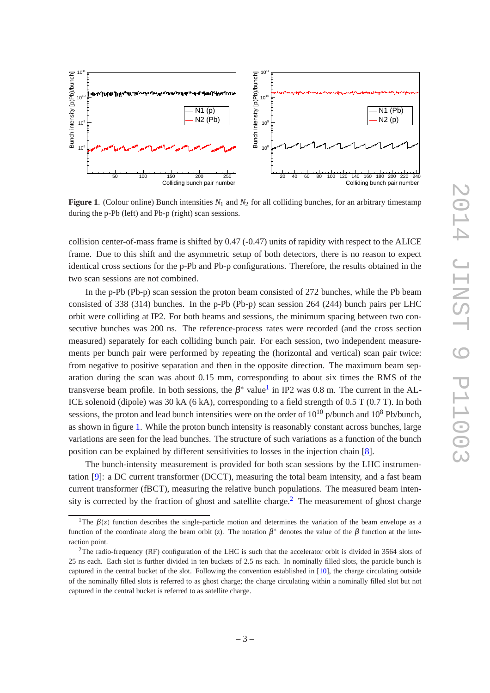

<span id="page-4-1"></span>**Figure 1.** (Colour online) Bunch intensities  $N_1$  and  $N_2$  for all colliding bunches, for an arbitrary timestamp during the p-Pb (left) and Pb-p (right) scan sessions.

collision center-of-mass frame is shifted by 0.47 (-0.47) units of rapidity with respect to the ALICE frame. Due to this shift and the asymmetric setup of both detectors, there is no reason to expect identical cross sections for the p-Pb and Pb-p configurations. Therefore, the results obtained in the two scan sessions are not combined.

In the p-Pb (Pb-p) scan session the proton beam consisted of 272 bunches, while the Pb beam consisted of 338 (314) bunches. In the p-Pb (Pb-p) scan session 264 (244) bunch pairs per LHC orbit were colliding at IP2. For both beams and sessions, the minimum spacing between two consecutive bunches was 200 ns. The reference-process rates were recorded (and the cross section measured) separately for each colliding bunch pair. For each session, two independent measurements per bunch pair were performed by repeating the (horizontal and vertical) scan pair twice: from negative to positive separation and then in the opposite direction. The maximum beam separation during the scan was about 0.15 mm, corresponding to about six times the RMS of the transverse beam profile. In both sessions, the  $\beta^*$  value<sup>[1](#page-4-0)</sup> in IP2 was 0.8 m. The current in the AL-ICE solenoid (dipole) was 30 kA (6 kA), corresponding to a field strength of 0.5 T (0.7 T). In both sessions, the proton and lead bunch intensities were on the order of  $10^{10}$  p/bunch and  $10^8$  Pb/bunch, as shown in figure [1.](#page-4-1) While the proton bunch intensity is reasonably constant across bunches, large variations are seen for the lead bunches. The structure of such variations as a function of the bunch position can be explained by different sensitivities to losses in the injection chain [\[8](#page-18-7)].

The bunch-intensity measurement is provided for both scan sessions by the LHC instrumentation [\[9](#page-18-8)]: a DC current transformer (DCCT), measuring the total beam intensity, and a fast beam current transformer (fBCT), measuring the relative bunch populations. The measured beam inten-sity is corrected by the fraction of ghost and satellite charge.<sup>[2](#page-4-2)</sup> The measurement of ghost charge

<span id="page-4-0"></span><sup>&</sup>lt;sup>1</sup>The  $\beta(z)$  function describes the single-particle motion and determines the variation of the beam envelope as a function of the coordinate along the beam orbit (*z*). The notation  $\beta^*$  denotes the value of the  $\beta$  function at the interaction point.

<span id="page-4-2"></span><sup>&</sup>lt;sup>2</sup>The radio-frequency (RF) configuration of the LHC is such that the accelerator orbit is divided in  $3564$  slots of 25 ns each. Each slot is further divided in ten buckets of 2.5 ns each. In nominally filled slots, the particle bunch is captured in the central bucket of the slot. Following the convention established in [\[10\]](#page-18-9), the charge circulating outside of the nominally filled slots is referred to as ghost charge; the charge circulating within a nominally filled slot but not captured in the central bucket is referred to as satellite charge.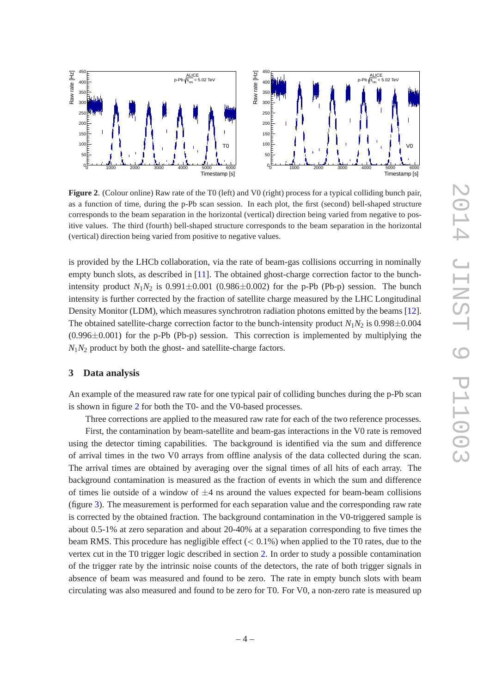

<span id="page-5-1"></span>**Figure 2.** (Colour online) Raw rate of the T0 (left) and V0 (right) process for a typical colliding bunch pair, as a function of time, during the p-Pb scan session. In each plot, the first (second) bell-shaped structure corresponds to the beam separation in the horizontal (vertical) direction being varied from negative to positive values. The third (fourth) bell-shaped structure corresponds to the beam separation in the horizontal (vertical) direction being varied from positive to negative values.

is provided by the LHCb collaboration, via the rate of beam-gas collisions occurring in nominally empty bunch slots, as described in [\[11](#page-18-10)]. The obtained ghost-charge correction factor to the bunchintensity product  $N_1N_2$  is 0.991 $\pm$ 0.001 (0.986 $\pm$ 0.002) for the p-Pb (Pb-p) session. The bunch intensity is further corrected by the fraction of satellite charge measured by the LHC Longitudinal Density Monitor (LDM), which measures synchrotron radiation photons emitted by the beams [\[12](#page-18-11)]. The obtained satellite-charge correction factor to the bunch-intensity product  $N_1N_2$  is 0.998 $\pm$ 0.004  $(0.996\pm0.001)$  for the p-Pb (Pb-p) session. This correction is implemented by multiplying the  $N_1N_2$  product by both the ghost- and satellite-charge factors.

#### <span id="page-5-0"></span>**3 Data analysis**

An example of the measured raw rate for one typical pair of colliding bunches during the p-Pb scan is shown in figure [2](#page-5-1) for both the T0- and the V0-based processes.

Three corrections are applied to the measured raw rate for each of the two reference processes.

First, the contamination by beam-satellite and beam-gas interactions in the V0 rate is removed using the detector timing capabilities. The background is identified via the sum and difference of arrival times in the two V0 arrays from offline analysis of the data collected during the scan. The arrival times are obtained by averaging over the signal times of all hits of each array. The background contamination is measured as the fraction of events in which the sum and difference of times lie outside of a window of  $\pm 4$  ns around the values expected for beam-beam collisions (figure [3\)](#page-6-0). The measurement is performed for each separation value and the corresponding raw rate is corrected by the obtained fraction. The background contamination in the V0-triggered sample is about 0.5-1% at zero separation and about 20-40% at a separation corresponding to five times the beam RMS. This procedure has negligible effect  $(< 0.1\%)$  when applied to the T0 rates, due to the vertex cut in the T0 trigger logic described in section [2.](#page-3-0) In order to study a possible contamination of the trigger rate by the intrinsic noise counts of the detectors, the rate of both trigger signals in absence of beam was measured and found to be zero. The rate in empty bunch slots with beam circulating was also measured and found to be zero for T0. For V0, a non-zero rate is measured up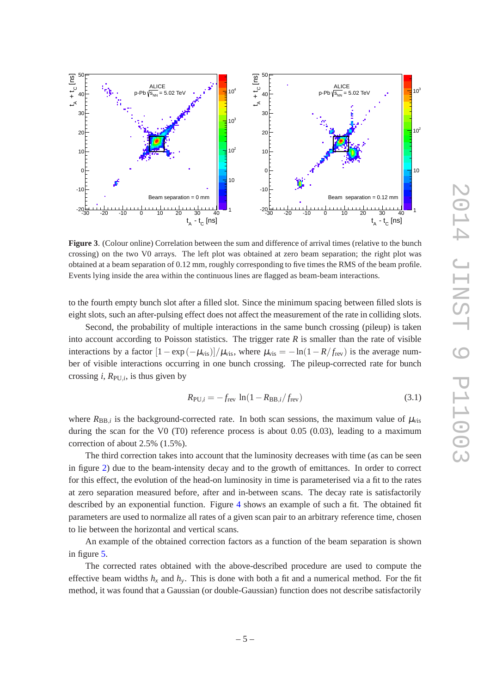

<span id="page-6-0"></span>**Figure 3**. (Colour online) Correlation between the sum and difference of arrival times (relative to the bunch crossing) on the two V0 arrays. The left plot was obtained at zero beam separation; the right plot was obtained at a beam separation of 0.12 mm, roughly corresponding to five times the RMS of the beam profile. Events lying inside the area within the continuous lines are flagged as beam-beam interactions.

to the fourth empty bunch slot after a filled slot. Since the minimum spacing between filled slots is eight slots, such an after-pulsing effect does not affect the measurement of the rate in colliding slots.

Second, the probability of multiple interactions in the same bunch crossing (pileup) is taken into account according to Poisson statistics. The trigger rate  $R$  is smaller than the rate of visible interactions by a factor  $[1 - \exp(-\mu_{vis})]/\mu_{vis}$ , where  $\mu_{vis} = -\ln(1 - R/f_{rev})$  is the average number of visible interactions occurring in one bunch crossing. The pileup-corrected rate for bunch crossing *i*,  $R_{PU,i}$ , is thus given by

$$
R_{\text{PU},i} = -f_{\text{rev}} \ln(1 - R_{\text{BB},i}/f_{\text{rev}}) \tag{3.1}
$$

where  $R_{BB,i}$  is the background-corrected rate. In both scan sessions, the maximum value of  $\mu_{vis}$ during the scan for the V0 (T0) reference process is about 0.05 (0.03), leading to a maximum correction of about 2.5% (1.5%).

The third correction takes into account that the luminosity decreases with time (as can be seen in figure [2\)](#page-5-1) due to the beam-intensity decay and to the growth of emittances. In order to correct for this effect, the evolution of the head-on luminosity in time is parameterised via a fit to the rates at zero separation measured before, after and in-between scans. The decay rate is satisfactorily described by an exponential function. Figure [4](#page-7-0) shows an example of such a fit. The obtained fit parameters are used to normalize all rates of a given scan pair to an arbitrary reference time, chosen to lie between the horizontal and vertical scans.

An example of the obtained correction factors as a function of the beam separation is shown in figure [5.](#page-7-1)

The corrected rates obtained with the above-described procedure are used to compute the effective beam widths  $h_x$  and  $h_y$ . This is done with both a fit and a numerical method. For the fit method, it was found that a Gaussian (or double-Gaussian) function does not describe satisfactorily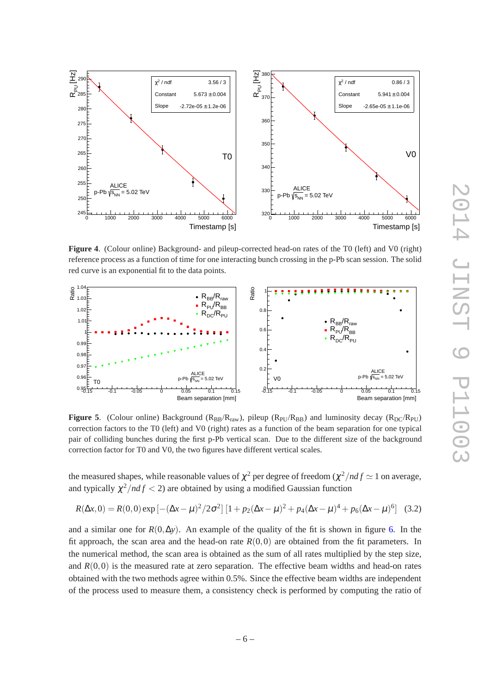

<span id="page-7-0"></span>**Figure 4**. (Colour online) Background- and pileup-corrected head-on rates of the T0 (left) and V0 (right) reference process as a function of time for one interacting bunch crossing in the p-Pb scan session. The solid red curve is an exponential fit to the data points.



<span id="page-7-1"></span>**Figure 5.** (Colour online) Background ( $R_{BB}/R_{raw}$ ), pileup ( $R_{PU}/R_{BB}$ ) and luminosity decay ( $R_{DC}/R_{PU}$ ) correction factors to the T0 (left) and V0 (right) rates as a function of the beam separation for one typical pair of colliding bunches during the first p-Pb vertical scan. Due to the different size of the background correction factor for T0 and V0, the two figures have different vertical scales.

the measured shapes, while reasonable values of  $\chi^2$  per degree of freedom ( $\chi^2/ndf \simeq 1$  on average, and typically  $\chi^2/ndf < 2$ ) are obtained by using a modified Gaussian function

<span id="page-7-2"></span>
$$
R(\Delta x, 0) = R(0, 0) \exp[-(\Delta x - \mu)^2 / 2\sigma^2] \left[1 + p_2(\Delta x - \mu)^2 + p_4(\Delta x - \mu)^4 + p_6(\Delta x - \mu)^6\right] \tag{3.2}
$$

and a similar one for  $R(0, \Delta y)$ . An example of the quality of the fit is shown in figure [6.](#page-8-0) In the fit approach, the scan area and the head-on rate  $R(0,0)$  are obtained from the fit parameters. In the numerical method, the scan area is obtained as the sum of all rates multiplied by the step size, and  $R(0,0)$  is the measured rate at zero separation. The effective beam widths and head-on rates obtained with the two methods agree within 0.5%. Since the effective beam widths are independent of the process used to measure them, a consistency check is performed by computing the ratio of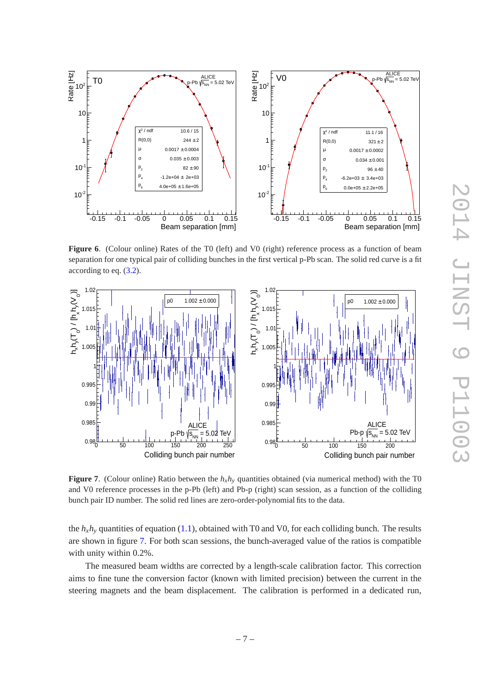

<span id="page-8-0"></span>**Figure 6.** (Colour online) Rates of the T0 (left) and V0 (right) reference process as a function of beam separation for one typical pair of colliding bunches in the first vertical p-Pb scan. The solid red curve is a fit according to eq. [\(3.2\)](#page-7-2).



<span id="page-8-1"></span>**Figure 7**. (Colour online) Ratio between the *hxh<sup>y</sup>* quantities obtained (via numerical method) with the T0 and V0 reference processes in the p-Pb (left) and Pb-p (right) scan session, as a function of the colliding bunch pair ID number. The solid red lines are zero-order-polynomial fits to the data.

the  $h_x h_y$  quantities of equation [\(1.1\)](#page-2-1), obtained with T0 and V0, for each colliding bunch. The results are shown in figure [7.](#page-8-1) For both scan sessions, the bunch-averaged value of the ratios is compatible with unity within 0.2%.

The measured beam widths are corrected by a length-scale calibration factor. This correction aims to fine tune the conversion factor (known with limited precision) between the current in the steering magnets and the beam displacement. The calibration is performed in a dedicated run,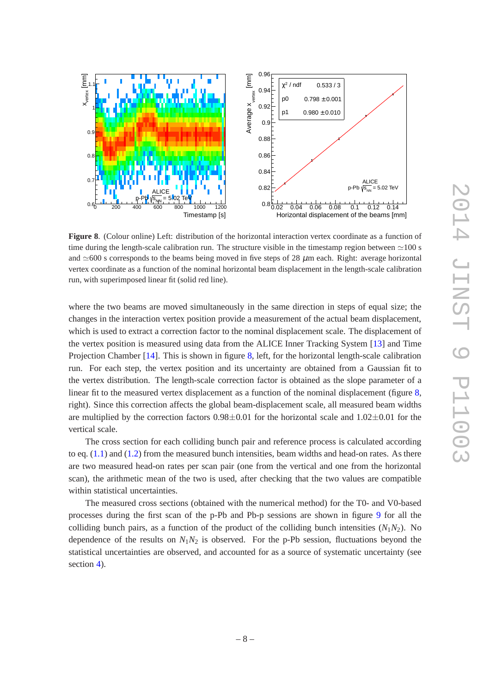

<span id="page-9-0"></span>**Figure 8**. (Colour online) Left: distribution of the horizontal interaction vertex coordinate as a function of time during the length-scale calibration run. The structure visible in the timestamp region between  $\simeq$ 100 s and ≃600 s corresponds to the beams being moved in five steps of 28  $\mu$ m each. Right: average horizontal vertex coordinate as a function of the nominal horizontal beam displacement in the length-scale calibration run, with superimposed linear fit (solid red line).

where the two beams are moved simultaneously in the same direction in steps of equal size; the changes in the interaction vertex position provide a measurement of the actual beam displacement, which is used to extract a correction factor to the nominal displacement scale. The displacement of the vertex position is measured using data from the ALICE Inner Tracking System [\[13\]](#page-18-12) and Time Projection Chamber [\[14](#page-18-13)]. This is shown in figure [8,](#page-9-0) left, for the horizontal length-scale calibration run. For each step, the vertex position and its uncertainty are obtained from a Gaussian fit to the vertex distribution. The length-scale correction factor is obtained as the slope parameter of a linear fit to the measured vertex displacement as a function of the nominal displacement (figure [8,](#page-9-0) right). Since this correction affects the global beam-displacement scale, all measured beam widths are multiplied by the correction factors  $0.98\pm0.01$  for the horizontal scale and  $1.02\pm0.01$  for the vertical scale.

The cross section for each colliding bunch pair and reference process is calculated according to eq.  $(1.1)$  and  $(1.2)$  from the measured bunch intensities, beam widths and head-on rates. As there are two measured head-on rates per scan pair (one from the vertical and one from the horizontal scan), the arithmetic mean of the two is used, after checking that the two values are compatible within statistical uncertainties.

The measured cross sections (obtained with the numerical method) for the T0- and V0-based processes during the first scan of the p-Pb and Pb-p sessions are shown in figure [9](#page-10-1) for all the colliding bunch pairs, as a function of the product of the colliding bunch intensities  $(N_1N_2)$ . No dependence of the results on  $N_1N_2$  is observed. For the p-Pb session, fluctuations beyond the statistical uncertainties are observed, and accounted for as a source of systematic uncertainty (see section [4\)](#page-10-0).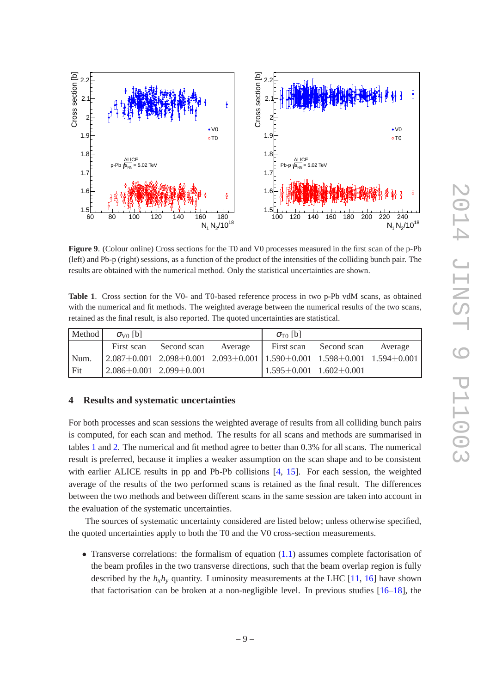

<span id="page-10-1"></span>**Figure 9**. (Colour online) Cross sections for the T0 and V0 processes measured in the first scan of the p-Pb (left) and Pb-p (right) sessions, as a function of the product of the intensities of the colliding bunch pair. The results are obtained with the numerical method. Only the statistical uncertainties are shown.

<span id="page-10-2"></span>**Table 1**. Cross section for the V0- and T0-based reference process in two p-Pb vdM scans, as obtained with the numerical and fit methods. The weighted average between the numerical results of the two scans, retained as the final result, is also reported. The quoted uncertainties are statistical.

| Method | $\sigma_{\rm V0}$ [b]               |                        |                                                                                                                           | $\sigma_{\text{TO}}$ [b]            |             |         |
|--------|-------------------------------------|------------------------|---------------------------------------------------------------------------------------------------------------------------|-------------------------------------|-------------|---------|
|        |                                     | First scan Second scan | Average                                                                                                                   | First scan                          | Second scan | Average |
| Num.   |                                     |                        | $\left[2.087\pm0.001\right]$ $2.098\pm0.001$ $2.093\pm0.001$ $\left[1.590\pm0.001\right]$ $1.598\pm0.001$ $1.594\pm0.001$ |                                     |             |         |
| Fit    | $2.086 \pm 0.001$ 2.099 $\pm$ 0.001 |                        |                                                                                                                           | $1.595 \pm 0.001$ $1.602 \pm 0.001$ |             |         |

## <span id="page-10-0"></span>**4 Results and systematic uncertainties**

For both processes and scan sessions the weighted average of results from all colliding bunch pairs is computed, for each scan and method. The results for all scans and methods are summarised in tables [1](#page-10-2) and [2.](#page-11-0) The numerical and fit method agree to better than 0.3% for all scans. The numerical result is preferred, because it implies a weaker assumption on the scan shape and to be consistent with earlier ALICE results in pp and Pb-Pb collisions [\[4,](#page-18-3) [15\]](#page-18-14). For each session, the weighted average of the results of the two performed scans is retained as the final result. The differences between the two methods and between different scans in the same session are taken into account in the evaluation of the systematic uncertainties.

The sources of systematic uncertainty considered are listed below; unless otherwise specified, the quoted uncertainties apply to both the T0 and the V0 cross-section measurements.

• Transverse correlations: the formalism of equation  $(1.1)$  assumes complete factorisation of the beam profiles in the two transverse directions, such that the beam overlap region is fully described by the  $h_x h_y$  quantity. Luminosity measurements at the LHC [\[11,](#page-18-10) [16](#page-18-15)] have shown that factorisation can be broken at a non-negligible level. In previous studies [\[16](#page-18-15)[–18](#page-18-16)], the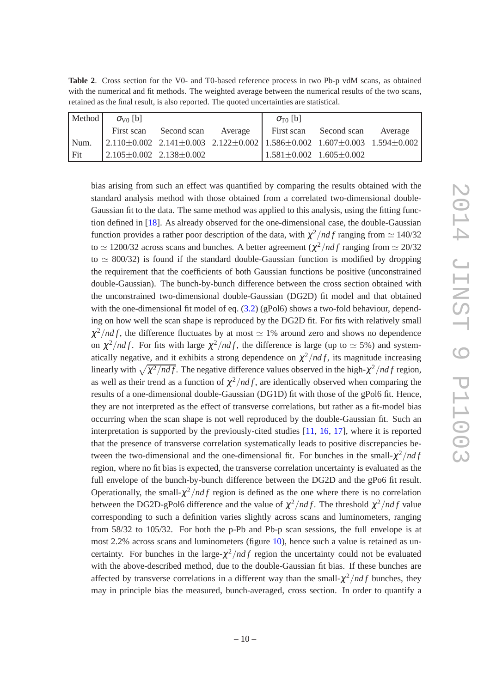<span id="page-11-0"></span>

| <b>Table 2.</b> Cross section for the V0- and T0-based reference process in two Pb-p vdM scans, as obtained |  |  |  |  |
|-------------------------------------------------------------------------------------------------------------|--|--|--|--|
| with the numerical and fit methods. The weighted average between the numerical results of the two scans,    |  |  |  |  |
| retained as the final result, is also reported. The quoted uncertainties are statistical.                   |  |  |  |  |

| Method | $\sigma_{V0}$ [b]                   |             |         | $\sigma_{\text{TO}}$ [b]                                                                                                  |             |         |
|--------|-------------------------------------|-------------|---------|---------------------------------------------------------------------------------------------------------------------------|-------------|---------|
|        | First scan                          | Second scan | Average | First scan                                                                                                                | Second scan | Average |
| Num.   |                                     |             |         | $\left[2.110\pm0.002\right]$ $2.141\pm0.003$ $2.122\pm0.002$ $\left[1.586\pm0.002\right]$ $1.607\pm0.003$ $1.594\pm0.002$ |             |         |
| Fit    | $2.105 \pm 0.002$ 2.138 $\pm 0.002$ |             |         | $1.581 \pm 0.002$ $1.605 \pm 0.002$                                                                                       |             |         |

bias arising from such an effect was quantified by comparing the results obtained with the standard analysis method with those obtained from a correlated two-dimensional double-Gaussian fit to the data. The same method was applied to this analysis, using the fitting function defined in [\[18\]](#page-18-16). As already observed for the one-dimensional case, the double-Gaussian function provides a rather poor description of the data, with  $\chi^2/ndf$  ranging from  $\simeq 140/32$ to  $\simeq$  1200/32 across scans and bunches. A better agreement  $(\chi^2/ndf$  ranging from  $\simeq$  20/32 to  $\simeq 800/32$ ) is found if the standard double-Gaussian function is modified by dropping the requirement that the coefficients of both Gaussian functions be positive (unconstrained double-Gaussian). The bunch-by-bunch difference between the cross section obtained with the unconstrained two-dimensional double-Gaussian (DG2D) fit model and that obtained with the one-dimensional fit model of eq.  $(3.2)$  (gPol6) shows a two-fold behaviour, depending on how well the scan shape is reproduced by the DG2D fit. For fits with relatively small  $\chi^2/ndf$ , the difference fluctuates by at most  $\simeq$  1% around zero and shows no dependence on  $\chi^2/ndf$ . For fits with large  $\chi^2/ndf$ , the difference is large (up to  $\simeq$  5%) and systematically negative, and it exhibits a strong dependence on  $\chi^2/ndf$ , its magnitude increasing linearly with  $\sqrt{\chi^2/ndf}$ . The negative difference values observed in the high- $\chi^2/ndf$  region, as well as their trend as a function of  $\chi^2/ndf$ , are identically observed when comparing the results of a one-dimensional double-Gaussian (DG1D) fit with those of the gPol6 fit. Hence, they are not interpreted as the effect of transverse correlations, but rather as a fit-model bias occurring when the scan shape is not well reproduced by the double-Gaussian fit. Such an interpretation is supported by the previously-cited studies [\[11](#page-18-10), [16](#page-18-15), [17](#page-18-17)], where it is reported that the presence of transverse correlation systematically leads to positive discrepancies between the two-dimensional and the one-dimensional fit. For bunches in the small- $\chi^2/ndf$ region, where no fit bias is expected, the transverse correlation uncertainty is evaluated as the full envelope of the bunch-by-bunch difference between the DG2D and the gPo6 fit result. Operationally, the small- $\chi^2/df$  region is defined as the one where there is no correlation between the DG2D-gPol6 difference and the value of  $\chi^2/ndf$ . The threshold  $\chi^2/ndf$  value corresponding to such a definition varies slightly across scans and luminometers, ranging from 58/32 to 105/32. For both the p-Pb and Pb-p scan sessions, the full envelope is at most 2.2% across scans and luminometers (figure [10\)](#page-12-0), hence such a value is retained as uncertainty. For bunches in the large- $\chi^2/ndf$  region the uncertainty could not be evaluated with the above-described method, due to the double-Gaussian fit bias. If these bunches are affected by transverse correlations in a different way than the small- $\chi^2/ndf$  bunches, they may in principle bias the measured, bunch-averaged, cross section. In order to quantify a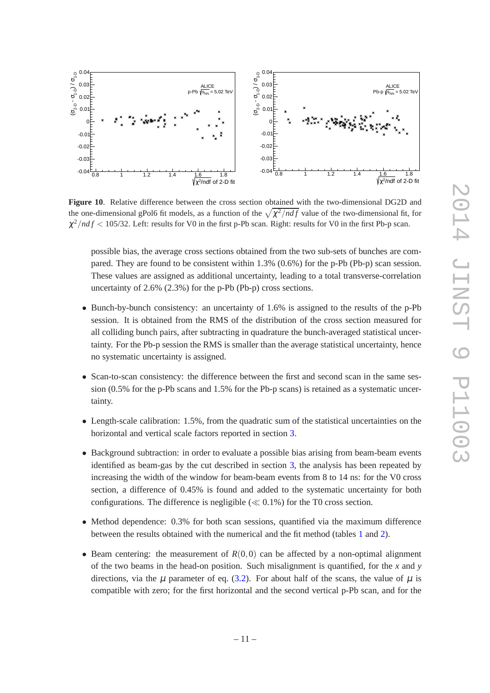

<span id="page-12-0"></span>**Figure 10**. Relative difference between the cross section obtained with the two-dimensional DG2D and the one-dimensional gPol6 fit models, as a function of the  $\sqrt{\chi^2/ndf}$  value of the two-dimensional fit, for  $\chi^2/ndf < 105/32$ . Left: results for V0 in the first p-Pb scan. Right: results for V0 in the first Pb-p scan.

possible bias, the average cross sections obtained from the two sub-sets of bunches are compared. They are found to be consistent within 1.3% (0.6%) for the p-Pb (Pb-p) scan session. These values are assigned as additional uncertainty, leading to a total transverse-correlation uncertainty of 2.6% (2.3%) for the p-Pb (Pb-p) cross sections.

- Bunch-by-bunch consistency: an uncertainty of 1.6% is assigned to the results of the p-Pb session. It is obtained from the RMS of the distribution of the cross section measured for all colliding bunch pairs, after subtracting in quadrature the bunch-averaged statistical uncertainty. For the Pb-p session the RMS is smaller than the average statistical uncertainty, hence no systematic uncertainty is assigned.
- Scan-to-scan consistency: the difference between the first and second scan in the same session (0.5% for the p-Pb scans and 1.5% for the Pb-p scans) is retained as a systematic uncertainty.
- Length-scale calibration: 1.5%, from the quadratic sum of the statistical uncertainties on the horizontal and vertical scale factors reported in section [3.](#page-5-0)
- Background subtraction: in order to evaluate a possible bias arising from beam-beam events identified as beam-gas by the cut described in section [3,](#page-5-0) the analysis has been repeated by increasing the width of the window for beam-beam events from 8 to 14 ns: for the V0 cross section, a difference of 0.45% is found and added to the systematic uncertainty for both configurations. The difference is negligible  $(\ll 0.1\%)$  for the T0 cross section.
- Method dependence: 0.3% for both scan sessions, quantified via the maximum difference between the results obtained with the numerical and the fit method (tables [1](#page-10-2) and [2\)](#page-11-0).
- Beam centering: the measurement of  $R(0,0)$  can be affected by a non-optimal alignment of the two beams in the head-on position. Such misalignment is quantified, for the *x* and *y* directions, via the  $\mu$  parameter of eq. [\(3.2\)](#page-7-2). For about half of the scans, the value of  $\mu$  is compatible with zero; for the first horizontal and the second vertical p-Pb scan, and for the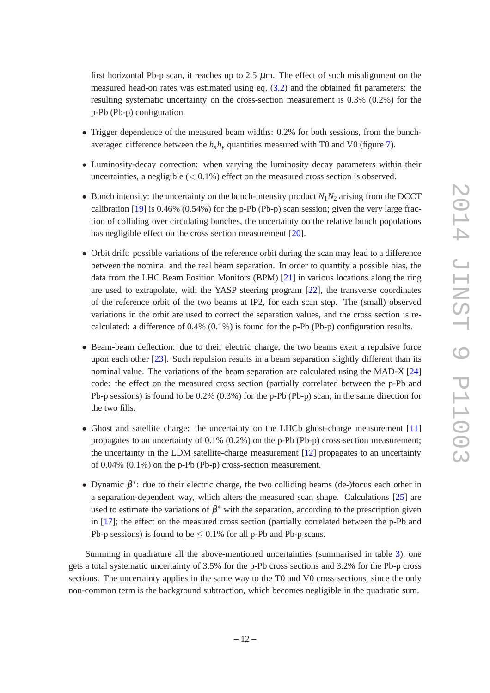first horizontal Pb-p scan, it reaches up to 2.5  $\mu$ m. The effect of such misalignment on the measured head-on rates was estimated using eq. [\(3.2\)](#page-7-2) and the obtained fit parameters: the resulting systematic uncertainty on the cross-section measurement is 0.3% (0.2%) for the p-Pb (Pb-p) configuration.

- Trigger dependence of the measured beam widths: 0.2% for both sessions, from the bunchaveraged difference between the  $h_x h_y$  quantities measured with T0 and V0 (figure [7\)](#page-8-1).
- Luminosity-decay correction: when varying the luminosity decay parameters within their uncertainties, a negligible  $(< 0.1\%)$  effect on the measured cross section is observed.
- Bunch intensity: the uncertainty on the bunch-intensity product  $N_1N_2$  arising from the DCCT calibration  $[19]$  is 0.46% (0.54%) for the p-Pb (Pb-p) scan session; given the very large fraction of colliding over circulating bunches, the uncertainty on the relative bunch populations has negligible effect on the cross section measurement [\[20](#page-18-19)].
- Orbit drift: possible variations of the reference orbit during the scan may lead to a difference between the nominal and the real beam separation. In order to quantify a possible bias, the data from the LHC Beam Position Monitors (BPM) [\[21](#page-19-0)] in various locations along the ring are used to extrapolate, with the YASP steering program [\[22](#page-19-1)], the transverse coordinates of the reference orbit of the two beams at IP2, for each scan step. The (small) observed variations in the orbit are used to correct the separation values, and the cross section is recalculated: a difference of 0.4% (0.1%) is found for the p-Pb (Pb-p) configuration results.
- Beam-beam deflection: due to their electric charge, the two beams exert a repulsive force upon each other [\[23](#page-19-2)]. Such repulsion results in a beam separation slightly different than its nominal value. The variations of the beam separation are calculated using the MAD-X [\[24](#page-19-3)] code: the effect on the measured cross section (partially correlated between the p-Pb and Pb-p sessions) is found to be 0.2% (0.3%) for the p-Pb (Pb-p) scan, in the same direction for the two fills.
- Ghost and satellite charge: the uncertainty on the LHCb ghost-charge measurement [\[11](#page-18-10)] propagates to an uncertainty of 0.1% (0.2%) on the p-Pb (Pb-p) cross-section measurement; the uncertainty in the LDM satellite-charge measurement [\[12](#page-18-11)] propagates to an uncertainty of 0.04% (0.1%) on the p-Pb (Pb-p) cross-section measurement.
- Dynamic  $\beta^*$ : due to their electric charge, the two colliding beams (de-)focus each other in a separation-dependent way, which alters the measured scan shape. Calculations [\[25](#page-19-4)] are used to estimate the variations of  $\beta^*$  with the separation, according to the prescription given in [\[17\]](#page-18-17); the effect on the measured cross section (partially correlated between the p-Pb and Pb-p sessions) is found to be  $\leq 0.1\%$  for all p-Pb and Pb-p scans.

Summing in quadrature all the above-mentioned uncertainties (summarised in table [3\)](#page-14-1), one gets a total systematic uncertainty of 3.5% for the p-Pb cross sections and 3.2% for the Pb-p cross sections. The uncertainty applies in the same way to the T0 and V0 cross sections, since the only non-common term is the background subtraction, which becomes negligible in the quadratic sum.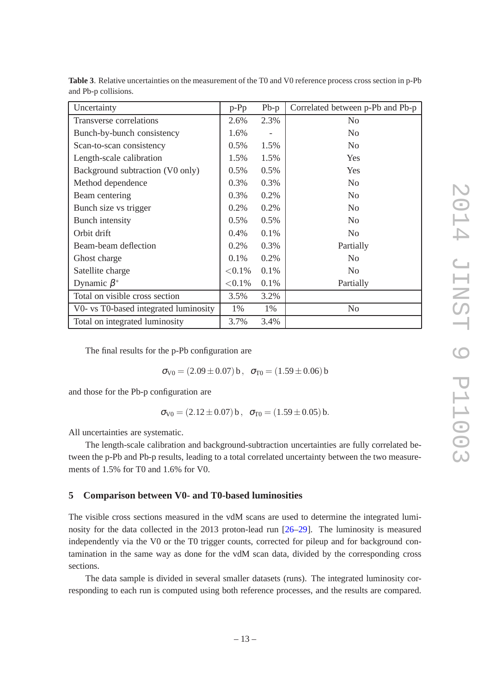| Uncertainty                           | $p-Pp$     | $Pb-p$ | Correlated between p-Pb and Pb-p |
|---------------------------------------|------------|--------|----------------------------------|
| Transverse correlations               | 2.6%       | 2.3%   | N <sub>0</sub>                   |
| Bunch-by-bunch consistency            | 1.6%       |        | N <sub>o</sub>                   |
| Scan-to-scan consistency              | 0.5%       | 1.5%   | N <sub>0</sub>                   |
| Length-scale calibration              | 1.5%       | 1.5%   | Yes                              |
| Background subtraction (V0 only)      | 0.5%       | 0.5%   | Yes                              |
| Method dependence                     | 0.3%       | 0.3%   | N <sub>0</sub>                   |
| Beam centering                        | 0.3%       | 0.2%   | N <sub>0</sub>                   |
| Bunch size vs trigger                 | 0.2%       | 0.2%   | N <sub>0</sub>                   |
| <b>Bunch</b> intensity                | 0.5%       | 0.5%   | N <sub>o</sub>                   |
| Orbit drift                           | 0.4%       | 0.1%   | N <sub>0</sub>                   |
| Beam-beam deflection                  | 0.2%       | 0.3%   | Partially                        |
| Ghost charge                          | 0.1%       | 0.2%   | N <sub>0</sub>                   |
| Satellite charge                      | $< 0.1\%$  | 0.1%   | N <sub>o</sub>                   |
| Dynamic $\beta^*$                     | ${<}0.1\%$ | 0.1%   | Partially                        |
| Total on visible cross section        | 3.5%       | 3.2%   |                                  |
| V0- vs T0-based integrated luminosity | 1%         | 1%     | N <sub>o</sub>                   |
| Total on integrated luminosity        | 3.7%       | 3.4%   |                                  |

<span id="page-14-1"></span>**Table 3**. Relative uncertainties on the measurement of the T0 and V0 reference process cross section in p-Pb and Pb-p collisions.

The final results for the p-Pb configuration are

$$
\sigma_{V0} = (2.09 \pm 0.07) \,\mathbf{b}, \quad \sigma_{T0} = (1.59 \pm 0.06) \,\mathbf{b}
$$

and those for the Pb-p configuration are

 $\sigma_{\text{V0}} = (2.12 \pm 0.07) \,\text{b}$ ,  $\sigma_{\text{T0}} = (1.59 \pm 0.05) \,\text{b}$ .

All uncertainties are systematic.

The length-scale calibration and background-subtraction uncertainties are fully correlated between the p-Pb and Pb-p results, leading to a total correlated uncertainty between the two measurements of 1.5% for T0 and 1.6% for V0.

## <span id="page-14-0"></span>**5 Comparison between V0- and T0-based luminosities**

The visible cross sections measured in the vdM scans are used to determine the integrated luminosity for the data collected in the 2013 proton-lead run [\[26](#page-19-5)[–29](#page-19-6)]. The luminosity is measured independently via the V0 or the T0 trigger counts, corrected for pileup and for background contamination in the same way as done for the vdM scan data, divided by the corresponding cross sections.

The data sample is divided in several smaller datasets (runs). The integrated luminosity corresponding to each run is computed using both reference processes, and the results are compared.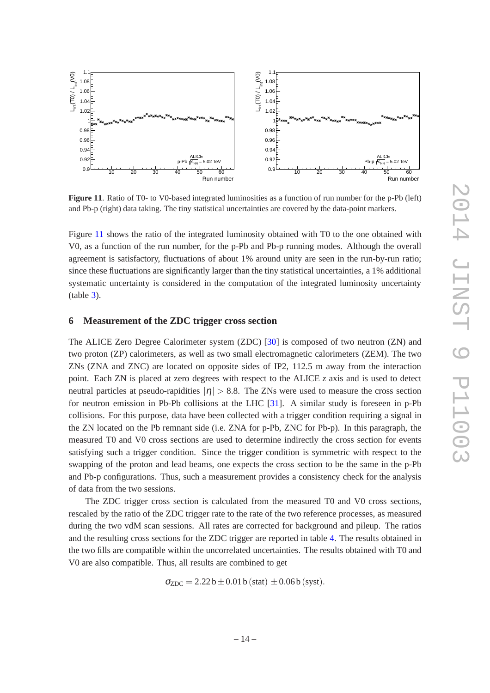

<span id="page-15-1"></span>**Figure 11**. Ratio of T0- to V0-based integrated luminosities as a function of run number for the p-Pb (left) and Pb-p (right) data taking. The tiny statistical uncertainties are covered by the data-point markers.

Figure [11](#page-15-1) shows the ratio of the integrated luminosity obtained with T0 to the one obtained with V0, as a function of the run number, for the p-Pb and Pb-p running modes. Although the overall agreement is satisfactory, fluctuations of about 1% around unity are seen in the run-by-run ratio; since these fluctuations are significantly larger than the tiny statistical uncertainties, a 1% additional systematic uncertainty is considered in the computation of the integrated luminosity uncertainty (table [3\)](#page-14-1).

### <span id="page-15-0"></span>**6 Measurement of the ZDC trigger cross section**

The ALICE Zero Degree Calorimeter system (ZDC) [\[30](#page-19-7)] is composed of two neutron (ZN) and two proton (ZP) calorimeters, as well as two small electromagnetic calorimeters (ZEM). The two ZNs (ZNA and ZNC) are located on opposite sides of IP2, 112.5 m away from the interaction point. Each ZN is placed at zero degrees with respect to the ALICE *z* axis and is used to detect neutral particles at pseudo-rapidities  $|\eta| > 8.8$ . The ZNs were used to measure the cross section for neutron emission in Pb-Pb collisions at the LHC [\[31](#page-19-8)]. A similar study is foreseen in p-Pb collisions. For this purpose, data have been collected with a trigger condition requiring a signal in the ZN located on the Pb remnant side (i.e. ZNA for p-Pb, ZNC for Pb-p). In this paragraph, the measured T0 and V0 cross sections are used to determine indirectly the cross section for events satisfying such a trigger condition. Since the trigger condition is symmetric with respect to the swapping of the proton and lead beams, one expects the cross section to be the same in the p-Pb and Pb-p configurations. Thus, such a measurement provides a consistency check for the analysis of data from the two sessions.

The ZDC trigger cross section is calculated from the measured T0 and V0 cross sections, rescaled by the ratio of the ZDC trigger rate to the rate of the two reference processes, as measured during the two vdM scan sessions. All rates are corrected for background and pileup. The ratios and the resulting cross sections for the ZDC trigger are reported in table [4.](#page-16-1) The results obtained in the two fills are compatible within the uncorrelated uncertainties. The results obtained with T0 and V0 are also compatible. Thus, all results are combined to get

$$
\sigma_{ZDC} = 2.22 \,\text{b} \pm 0.01 \,\text{b} \, (\text{stat}) \pm 0.06 \,\text{b} \, (\text{syst}).
$$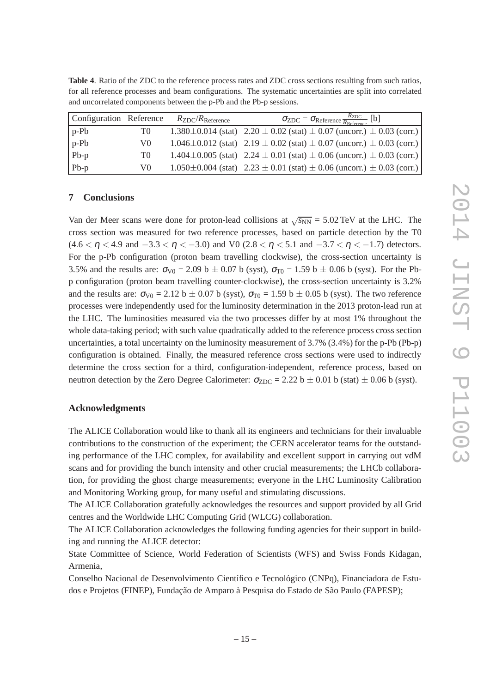<span id="page-16-1"></span>

| Table 4. Ratio of the ZDC to the reference process rates and ZDC cross sections resulting from such ratios, |  |
|-------------------------------------------------------------------------------------------------------------|--|
| for all reference processes and beam configurations. The systematic uncertainties are split into correlated |  |
| and uncorrelated components between the p-Pb and the Pb-p sessions.                                         |  |
|                                                                                                             |  |

| Configuration Reference |    | $R_{\rm ZDC}/R_{\rm Reference}$ | $\sigma_{ZDC} = \sigma_{Reference} \frac{R_{ZDC}}{R_{Reference}}$ [b]                   |
|-------------------------|----|---------------------------------|-----------------------------------------------------------------------------------------|
| $p-Pb$                  | T0 |                                 | 1.380 $\pm$ 0.014 (stat) 2.20 $\pm$ 0.02 (stat) $\pm$ 0.07 (uncorr.) $\pm$ 0.03 (corr.) |
| p-Pb                    | V0 |                                 | 1.046 $\pm$ 0.012 (stat) 2.19 $\pm$ 0.02 (stat) $\pm$ 0.07 (uncorr.) $\pm$ 0.03 (corr.) |
| $Pb-p$                  | T0 |                                 | $1.404 \pm 0.005$ (stat) $2.24 \pm 0.01$ (stat) $\pm 0.06$ (uncorr.) $\pm 0.03$ (corr.) |
| $Pb-p$                  | V0 |                                 | $1.050\pm0.004$ (stat) $2.23\pm0.01$ (stat) $\pm 0.06$ (uncorr.) $\pm 0.03$ (corr.)     |

## <span id="page-16-0"></span>**7 Conclusions**

Van der Meer scans were done for proton-lead collisions at  $\sqrt{s_{NN}} = 5.02 \text{ TeV}$  at the LHC. The cross section was measured for two reference processes, based on particle detection by the T0  $(4.6 < \eta < 4.9$  and  $-3.3 < \eta < -3.0$ ) and V0 (2.8  $< \eta < 5.1$  and  $-3.7 < \eta < -1.7$ ) detectors. For the p-Pb configuration (proton beam travelling clockwise), the cross-section uncertainty is 3.5% and the results are:  $\sigma_{V0} = 2.09 \text{ b} \pm 0.07 \text{ b (syst)}$ ,  $\sigma_{T0} = 1.59 \text{ b} \pm 0.06 \text{ b (syst)}$ . For the Pbp configuration (proton beam travelling counter-clockwise), the cross-section uncertainty is 3.2% and the results are:  $\sigma_{\text{V0}} = 2.12 \text{ b} \pm 0.07 \text{ b}$  (syst),  $\sigma_{\text{TO}} = 1.59 \text{ b} \pm 0.05 \text{ b}$  (syst). The two reference processes were independently used for the luminosity determination in the 2013 proton-lead run at the LHC. The luminosities measured via the two processes differ by at most 1% throughout the whole data-taking period; with such value quadratically added to the reference process cross section uncertainties, a total uncertainty on the luminosity measurement of 3.7% (3.4%) for the p-Pb (Pb-p) configuration is obtained. Finally, the measured reference cross sections were used to indirectly determine the cross section for a third, configuration-independent, reference process, based on neutron detection by the Zero Degree Calorimeter:  $\sigma_{ZDC} = 2.22 \text{ b} \pm 0.01 \text{ b (stat)} \pm 0.06 \text{ b (syst)}.$ 

#### **Acknowledgments**

The ALICE Collaboration would like to thank all its engineers and technicians for their invaluable contributions to the construction of the experiment; the CERN accelerator teams for the outstanding performance of the LHC complex, for availability and excellent support in carrying out vdM scans and for providing the bunch intensity and other crucial measurements; the LHCb collaboration, for providing the ghost charge measurements; everyone in the LHC Luminosity Calibration and Monitoring Working group, for many useful and stimulating discussions.

The ALICE Collaboration gratefully acknowledges the resources and support provided by all Grid centres and the Worldwide LHC Computing Grid (WLCG) collaboration.

The ALICE Collaboration acknowledges the following funding agencies for their support in building and running the ALICE detector:

State Committee of Science, World Federation of Scientists (WFS) and Swiss Fonds Kidagan, Armenia,

Conselho Nacional de Desenvolvimento Científico e Tecnológico (CNPq), Financiadora de Estudos e Projetos (FINEP), Fundação de Amparo à Pesquisa do Estado de São Paulo (FAPESP);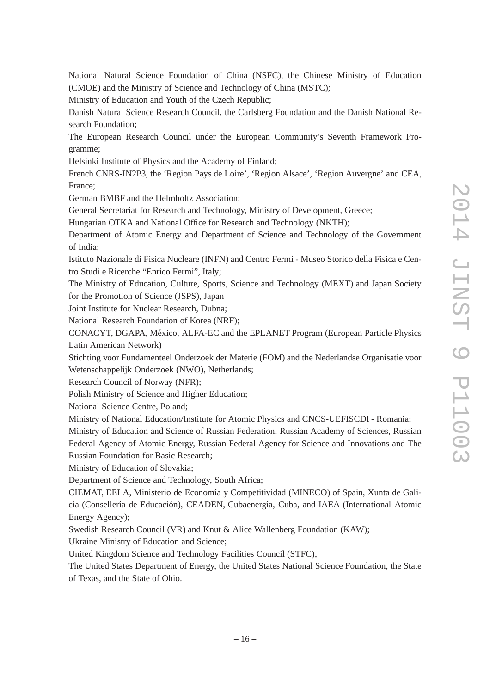National Natural Science Foundation of China (NSFC), the Chinese Ministry of Education (CMOE) and the Ministry of Science and Technology of China (MSTC);

Ministry of Education and Youth of the Czech Republic;

Danish Natural Science Research Council, the Carlsberg Foundation and the Danish National Research Foundation;

The European Research Council under the European Community's Seventh Framework Programme;

Helsinki Institute of Physics and the Academy of Finland;

French CNRS-IN2P3, the 'Region Pays de Loire', 'Region Alsace', 'Region Auvergne' and CEA, France;

German BMBF and the Helmholtz Association;

General Secretariat for Research and Technology, Ministry of Development, Greece;

Hungarian OTKA and National Office for Research and Technology (NKTH);

Department of Atomic Energy and Department of Science and Technology of the Government of India;

Istituto Nazionale di Fisica Nucleare (INFN) and Centro Fermi - Museo Storico della Fisica e Centro Studi e Ricerche "Enrico Fermi", Italy;

The Ministry of Education, Culture, Sports, Science and Technology (MEXT) and Japan Society for the Promotion of Science (JSPS), Japan

Joint Institute for Nuclear Research, Dubna;

National Research Foundation of Korea (NRF);

CONACYT, DGAPA, México, ALFA-EC and the EPLANET Program (European Particle Physics Latin American Network)

Stichting voor Fundamenteel Onderzoek der Materie (FOM) and the Nederlandse Organisatie voor Wetenschappelijk Onderzoek (NWO), Netherlands;

Research Council of Norway (NFR);

Polish Ministry of Science and Higher Education;

National Science Centre, Poland;

Ministry of National Education/Institute for Atomic Physics and CNCS-UEFISCDI - Romania;

Ministry of Education and Science of Russian Federation, Russian Academy of Sciences, Russian Federal Agency of Atomic Energy, Russian Federal Agency for Science and Innovations and The Russian Foundation for Basic Research;

Ministry of Education of Slovakia;

Department of Science and Technology, South Africa;

CIEMAT, EELA, Ministerio de Economía y Competitividad (MINECO) of Spain, Xunta de Galicia (Consellería de Educación), CEADEN, Cubaenergía, Cuba, and IAEA (International Atomic Energy Agency);

Swedish Research Council (VR) and Knut & Alice Wallenberg Foundation (KAW);

Ukraine Ministry of Education and Science;

United Kingdom Science and Technology Facilities Council (STFC);

The United States Department of Energy, the United States National Science Foundation, the State of Texas, and the State of Ohio.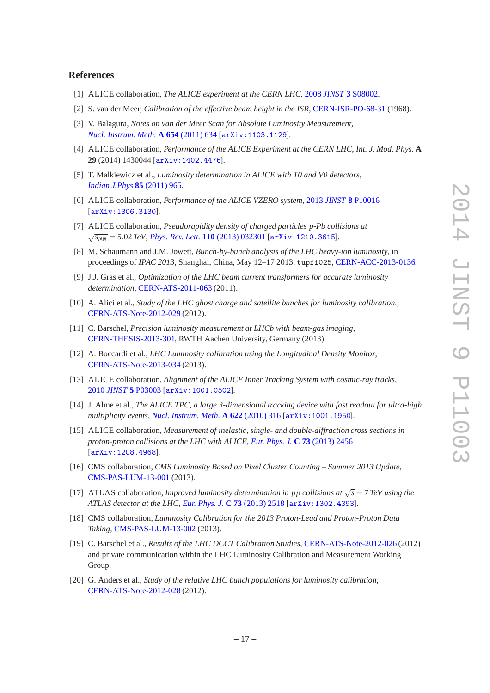#### **References**

- <span id="page-18-0"></span>[1] ALICE collaboration, *The ALICE experiment at the CERN LHC*, 2008 *JINST* **3** [S08002.](http://dx.doi.org/10.1088/1748-0221/3/08/S08002)
- <span id="page-18-1"></span>[2] S. van der Meer, *Calibration of the effective beam height in the ISR*, [CERN-ISR-PO-68-31](http://cds.cern.ch/record/296752) (1968).
- <span id="page-18-2"></span>[3] V. Balagura, *Notes on van der Meer Scan for Absolute Luminosity Measurement*, *[Nucl. Instrum. Meth.](http://dx.doi.org/10.1016/j.nima.2011.06.007)* **A 654** (2011) 634 [[arXiv:1103.1129](http://arxiv.org/abs/1103.1129)].
- <span id="page-18-3"></span>[4] ALICE collaboration, *Performance of the ALICE Experiment at the CERN LHC*, *Int. J. Mod. Phys.* **A 29** (2014) 1430044 [[arXiv:1402.4476](http://arxiv.org/abs/1402.4476)].
- <span id="page-18-4"></span>[5] T. Malkiewicz et al., *Luminosity determination in ALICE with T0 and V0 detectors*, *[Indian J.Phys](http://dx.doi.org/10.1007/s12648-011-0107-6)* **85** (2011) 965.
- <span id="page-18-5"></span>[6] ALICE collaboration, *Performance of the ALICE VZERO system*, 2013 *JINST* **8** [P10016](http://dx.doi.org/10.1088/1748-0221/8/10/P10016) [[arXiv:1306.3130](http://arxiv.org/abs/1306.3130)].
- <span id="page-18-6"></span>[7] ALICE collaboration, *Pseudorapidity density of charged particles p-Pb collisions at* √ *sNN* = 5.02 *TeV*, *[Phys. Rev. Lett.](http://dx.doi.org/10.1103/PhysRevLett.110.032301)* **110** (2013) 032301 [[arXiv:1210.3615](http://arxiv.org/abs/1210.3615)].
- <span id="page-18-7"></span>[8] M. Schaumann and J.M. Jowett, *Bunch-by-bunch analysis of the LHC heavy-ion luminosity*, in proceedings of *IPAC 2013*, Shanghai, China, May 12–17 2013, tupfi025, [CERN-ACC-2013-0136.](https://cds.cern.ch/record/1581718)
- <span id="page-18-8"></span>[9] J.J. Gras et al., *Optimization of the LHC beam current transformers for accurate luminosity determination*, [CERN-ATS-2011-063](http://cds.cern.ch/record/1379466) (2011).
- <span id="page-18-9"></span>[10] A. Alici et al., *Study of the LHC ghost charge and satellite bunches for luminosity calibration.*, [CERN-ATS-Note-2012-029](http://cds.cern.ch/record/1427728) (2012).
- <span id="page-18-10"></span>[11] C. Barschel, *Precision luminosity measurement at LHCb with beam-gas imaging*, [CERN-THESIS-2013-301,](https://cds.cern.ch/record/1693671) RWTH Aachen University, Germany (2013).
- <span id="page-18-11"></span>[12] A. Boccardi et al., *LHC Luminosity calibration using the Longitudinal Density Monitor*, [CERN-ATS-Note-2013-034](http://cds.cern.ch/record/1556087) (2013).
- <span id="page-18-12"></span>[13] ALICE collaboration, *Alignment of the ALICE Inner Tracking System with cosmic-ray tracks*, 2010 *JINST* **5** [P03003](http://dx.doi.org/10.1088/1748-0221/5/03/P03003) [[arXiv:1001.0502](http://arxiv.org/abs/1001.0502)].
- <span id="page-18-13"></span>[14] J. Alme et al., *The ALICE TPC, a large 3-dimensional tracking device with fast readout for ultra-high multiplicity events*, *[Nucl. Instrum. Meth.](http://dx.doi.org/10.1016/j.nima.2010.04.042)* **A 622** (2010) 316 [[arXiv:1001.1950](http://arxiv.org/abs/1001.1950)].
- <span id="page-18-14"></span>[15] ALICE collaboration, *Measurement of inelastic, single- and double-diffraction cross sections in proton-proton collisions at the LHC with ALICE*, *[Eur. Phys. J.](http://dx.doi.org/10.1140/epjc/s10052-013-2456-0)* **C 73** (2013) 2456 [[arXiv:1208.4968](http://arxiv.org/abs/1208.4968)].
- <span id="page-18-15"></span>[16] CMS collaboration, *CMS Luminosity Based on Pixel Cluster Counting – Summer 2013 Update*, [CMS-PAS-LUM-13-001](http://cds.cern.ch/record/1598864) (2013).
- <span id="page-18-17"></span>[17] ATLAS collaboration, *Improved luminosity determination in pp collisions at*  $\sqrt{s} = 7$  *TeV using the ATLAS detector at the LHC*, *[Eur. Phys. J.](http://dx.doi.org/10.1140/epjc/s10052-013-2518-3)* **C 73** (2013) 2518 [[arXiv:1302.4393](http://arxiv.org/abs/1302.4393)].
- <span id="page-18-16"></span>[18] CMS collaboration, *Luminosity Calibration for the 2013 Proton-Lead and Proton-Proton Data Taking*, [CMS-PAS-LUM-13-002](http://cds.cern.ch/record/1643269) (2013).
- <span id="page-18-18"></span>[19] C. Barschel et al., *Results of the LHC DCCT Calibration Studies*, [CERN-ATS-Note-2012-026](http://cds.cern.ch/record/1425904) (2012) and private communication within the LHC Luminosity Calibration and Measurement Working Group.
- <span id="page-18-19"></span>[20] G. Anders et al., *Study of the relative LHC bunch populations for luminosity calibration*, [CERN-ATS-Note-2012-028](http://cds.cern.ch/record/1427726) (2012).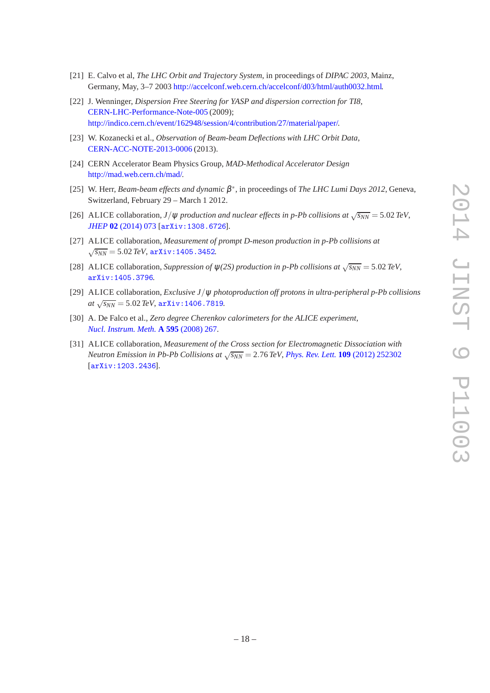- <span id="page-19-0"></span>[21] E. Calvo et al, *The LHC Orbit and Trajectory System*, in proceedings of *DIPAC 2003*, Mainz, Germany, May, 3–7 2003 [http://accelconf.web.cern.ch/accelconf/d03/html/auth0032.html.](http://accelconf.web.cern.ch/accelconf/d03/html/auth0032.html)
- <span id="page-19-1"></span>[22] J. Wenninger, *Dispersion Free Steering for YASP and dispersion correction for TI8*, [CERN-LHC-Performance-Note-005](http://cds.cern.ch/record/1156142) (2009); [http://indico.cern.ch/event/162948/session/4/contribution/27/material/paper/.](http://indico.cern.ch/event/162948/session/4/contribution/27/material/paper/)
- <span id="page-19-2"></span>[23] W. Kozanecki et al., *Observation of Beam-beam Deflections with LHC Orbit Data*, [CERN-ACC-NOTE-2013-0006](http://cds.cern.ch/record/1581723) (2013).
- <span id="page-19-3"></span>[24] CERN Accelerator Beam Physics Group, *MAD-Methodical Accelerator Design* [http://mad.web.cern.ch/mad/.](http://mad.web.cern.ch/mad/)
- <span id="page-19-4"></span>[25] W. Herr, *Beam-beam effects and dynamic* β ∗ , in proceedings of *The LHC Lumi Days 2012*, Geneva, Switzerland, February 29 – March 1 2012.
- <span id="page-19-5"></span>[26] ALICE collaboration, *J*/ $\psi$  *production and nuclear effects in p-Pb collisions at*  $\sqrt{s_{NN}} = 5.02 \text{ TeV}$ , *JHEP* **02** [\(2014\) 073](http://dx.doi.org/10.1007/JHEP02(2014)073) [[arXiv:1308.6726](http://arxiv.org/abs/1308.6726)].
- [27] ALICE collaboration, *Measurement of prompt D-meson production in p-Pb collisions at*  $\sqrt{s_{NN}}$  = 5.02 *TeV*, arXiv: 1405.3452.
- [28] ALICE collaboration, *Suppression of*  $\psi$ (2*S*) production in p-Pb collisions at  $\sqrt{s_{NN}} = 5.02 \text{ TeV}$ , [arXiv:1405.3796](http://arxiv.org/abs/1405.3796).
- <span id="page-19-6"></span>[29] ALICE collaboration, *Exclusive J*/ψ *photoproduction off protons in ultra-peripheral p-Pb collisions*  $at \sqrt{s_{NN}} = 5.02 \, \text{TeV}, \, \text{arXiv:1406.7819}.$  $at \sqrt{s_{NN}} = 5.02 \, \text{TeV}, \, \text{arXiv:1406.7819}.$  $at \sqrt{s_{NN}} = 5.02 \, \text{TeV}, \, \text{arXiv:1406.7819}.$
- <span id="page-19-7"></span>[30] A. De Falco et al., *Zero degree Cherenkov calorimeters for the ALICE experiment*, *[Nucl. Instrum. Meth.](http://dx.doi.org/10.1016/j.nima.2008.07.070)* **A 595** (2008) 267.
- <span id="page-19-8"></span>[31] ALICE collaboration, *Measurement of the Cross section for Electromagnetic Dissociation with Neutron Emission in Pb-Pb Collisions at*  $\sqrt{s_{NN}} = 2.76$  *TeV, [Phys. Rev. Lett.](http://dx.doi.org/10.1103/PhysRevLett.109.252302)* **109** (2012) 252302 [[arXiv:1203.2436](http://arxiv.org/abs/1203.2436)].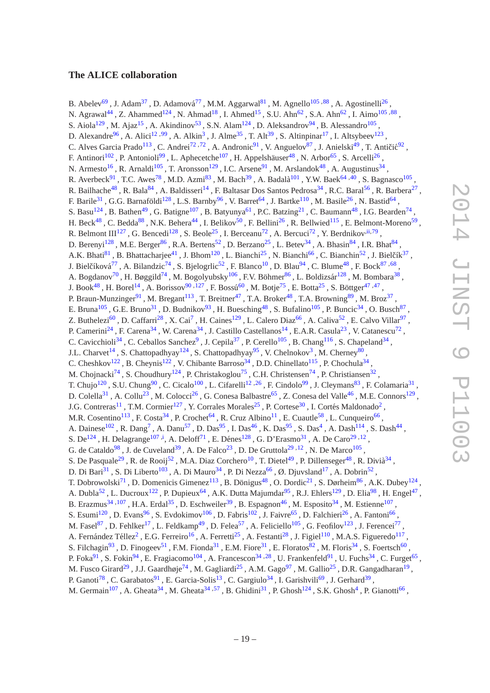## <span id="page-20-0"></span>**The ALICE collaboration**

B. Abelev<sup>[69](#page-24-0)</sup>, J. Adam<sup>[37](#page-24-1)</sup>, D. Adamová<sup>[77](#page-24-2)</sup>, M.M. Aggarwal<sup>[81](#page-24-3)</sup>, M. Agnello<sup>[105](#page-25-0)[,88](#page-25-1)</sup>, A. Agostinelli<sup>[26](#page-23-0)</sup>, N. Agrawal<sup>[44](#page-24-4)</sup>, Z. Ahammed<sup>[124](#page-25-2)</sup>, N. Ahmad<sup>[18](#page-23-1)</sup>, I. Ahmed<sup>[15](#page-23-2)</sup>, S.U. Ahn<sup>[62](#page-24-5)</sup>, S.A. Ahn<sup>62</sup>, I. Aimo<sup>[105](#page-25-0)[,88](#page-25-1)</sup>, S. Aiola<sup>[129](#page-25-3)</sup>, M. Ajaz<sup>[15](#page-23-2)</sup>, A. Akindinov<sup>[53](#page-24-6)</sup>, S.N. Alam<sup>[124](#page-25-2)</sup>, D. Aleksandrov<sup>[94](#page-25-4)</sup>, B. Alessandro<sup>[105](#page-25-0)</sup>, D. Alexandre<sup>[96](#page-25-5)</sup>, A. Alici<sup>[12](#page-23-3), 99</sup>, A. Alkin<sup>[3](#page-23-4)</sup>, J. Alme<sup>[35](#page-24-7)</sup>, T. Alt<sup>[39](#page-24-8)</sup>, S. Altinpinar<sup>[17](#page-23-5)</sup>, I. Altsybeev<sup>[123](#page-25-7)</sup>, C. Alves Garcia Prado<sup>[113](#page-25-8)</sup>, C. Andrei<sup>[72](#page-24-9)[,72](#page-24-9)</sup>, A. Andronic<sup>[91](#page-25-9)</sup>, V. Anguelov<sup>[87](#page-25-10)</sup>, J. Anielski<sup>[49](#page-24-10)</sup>, T. Antičić<sup>[92](#page-25-11)</sup>, F. Antinori<sup>[102](#page-25-12)</sup>, P. Antonioli<sup>[99](#page-25-6)</sup>, L. Aphecetche<sup>[107](#page-25-13)</sup>, H. Appelshäuser<sup>[48](#page-24-11)</sup>, N. Arbor<sup>[65](#page-24-12)</sup>, S. Arcelli<sup>[26](#page-23-0)</sup>, N. Armesto<sup>[16](#page-23-6)</sup>, R. Arnaldi<sup>[105](#page-25-0)</sup>, T. Aronsson<sup>[129](#page-25-3)</sup>, I.C. Arsene<sup>[91](#page-25-9)</sup>, M. Arslandok<sup>[48](#page-24-11)</sup>, A. Augustinus<sup>[34](#page-24-13)</sup>, R. Averbeck $^{91}$  $^{91}$  $^{91}$ , T.C. Awes<sup>[78](#page-24-14)</sup>, M.D. Azmi<sup>[83](#page-25-14)</sup>, M. Bach<sup>[39](#page-24-8)</sup>, A. Badalà<sup>[101](#page-25-15)</sup>, Y.W. Baek<sup>[64](#page-24-15)[,40](#page-24-16)</sup>, S. Bagnasco<sup>[105](#page-25-0)</sup>, R. Bailhache<sup>[48](#page-24-11)</sup>, R. Bala<sup>[84](#page-25-16)</sup>, A. Baldisseri<sup>[14](#page-23-7)</sup>, F. Baltasar Dos Santos Pedrosa<sup>[34](#page-24-13)</sup>, R.C. Baral<sup>[56](#page-24-17)</sup>, R. Barbera<sup>[27](#page-23-8)</sup>, F. Barile<sup>[31](#page-23-9)</sup>, G.G. Barnaföldi<sup>[128](#page-25-17)</sup>, L.S. Barnby<sup>[96](#page-25-5)</sup>, V. Barret<sup>[64](#page-24-15)</sup>, J. Bartke<sup>[110](#page-25-18)</sup>, M. Basile<sup>[26](#page-23-0)</sup>, N. Bastid<sup>64</sup>, S. Basu<sup>[124](#page-25-2)</sup>, B. Bathen<sup>[49](#page-24-10)</sup>, G. Batigne<sup>[107](#page-25-13)</sup>, B. Batyunya<sup>[61](#page-24-18)</sup>, P.C. Batzing<sup>[21](#page-23-10)</sup>, C. Baumann<sup>[48](#page-24-11)</sup>, I.G. Bearden<sup>[74](#page-24-19)</sup>, H. Beck<sup>[48](#page-24-11)</sup>, C. Bedda<sup>[88](#page-25-1)</sup>, N.K. Behera<sup>[44](#page-24-4)</sup>, I. Belikov<sup>[50](#page-24-20)</sup>, F. Bellini<sup>[26](#page-23-0)</sup>, R. Bellwied<sup>[115](#page-25-19)</sup>, E. Belmont-Moreno<sup>[59](#page-24-21)</sup>, R. Belmont III<sup>[127](#page-25-20)</sup>, G. Bencedi<sup>[128](#page-25-17)</sup>, S. Beole<sup>[25](#page-23-11)</sup>, I. Berceanu<sup>[72](#page-24-9)</sup>, A. Bercuci<sup>72</sup>, Y. Berdnikov<sup>[,ii,](#page-23-12)[79](#page-24-22)</sup>, D. Berenyi<sup>[128](#page-25-17)</sup>, M.E. Berger<sup>[86](#page-25-21)</sup>, R.A. Bertens<sup>[52](#page-24-23)</sup>, D. Berzano<sup>[25](#page-23-11)</sup>, L. Betev<sup>[34](#page-24-13)</sup>, A. Bhasin<sup>[84](#page-25-16)</sup>, I.R. Bhat<sup>84</sup>, A.K. Bhati<sup>[81](#page-24-3)</sup>, B. Bhattacharjee<sup>[41](#page-24-24)</sup>, J. Bhom<sup>[120](#page-25-22)</sup>, L. Bianchi<sup>[25](#page-23-11)</sup>, N. Bianchi<sup>[66](#page-24-25)</sup>, C. Bianchin<sup>[52](#page-24-23)</sup>, J. Bielčík<sup>[37](#page-24-1)</sup>, J. Bielčíková<sup>[77](#page-24-2)</sup>, A. Bilandzic<sup>[74](#page-24-19)</sup>, S. Bjelogrlic<sup>[52](#page-24-23)</sup>, F. Blanco<sup>[10](#page-23-13)</sup>, D. Blau<sup>[94](#page-25-4)</sup>, C. Blume<sup>[48](#page-24-11)</sup>, F. Bock<sup>[87](#page-25-10)[,68](#page-24-26)</sup>, A. Bogdanov<sup>[70](#page-24-27)</sup> , H. Bøggild<sup>[74](#page-24-19)</sup> , M. Bogolyubsky<sup>[106](#page-25-23)</sup> , F.V. Böhmer<sup>[86](#page-25-21)</sup> , L. Boldizsár<sup>[128](#page-25-17)</sup> , M. Bombara<sup>[38](#page-24-28)</sup> , J. Book<sup>[48](#page-24-11)</sup>, H. Borel<sup>[14](#page-23-7)</sup>, A. Borissov<sup>[90](#page-25-24)[,127](#page-25-20)</sup>, F. Bossú<sup>[60](#page-24-29)</sup>, M. Botje<sup>[75](#page-24-30)</sup>, E. Botta<sup>[25](#page-23-11)</sup>, S. Böttger<sup>[47](#page-24-31)[,47](#page-24-31)</sup>, P. Braun-Munzinger<sup>[91](#page-25-9)</sup>, M. Bregant<sup>[113](#page-25-8)</sup>, T. Breitner<sup>[47](#page-24-31)</sup>, T.A. Broker<sup>[48](#page-24-11)</sup>, T.A. Browning<sup>[89](#page-25-25)</sup>, M. Broz<sup>[37](#page-24-1)</sup>, E. Bruna<sup>[105](#page-25-0)</sup>, G.E. Bruno<sup>[31](#page-23-9)</sup>, D. Budnikov<sup>[93](#page-25-26)</sup>, H. Buesching<sup>[48](#page-24-11)</sup>, S. Bufalino<sup>105</sup>, P. Buncic<sup>[34](#page-24-13)</sup>, O. Busch<sup>[87](#page-25-10)</sup>, Z. Buthelezi<sup>[60](#page-24-29)</sup>, D. Caffarri<sup>[28](#page-23-14)</sup>, X. Cai<sup>[7](#page-23-15)</sup>, H. Caines<sup>[129](#page-25-3)</sup>, L. Calero Diaz<sup>[66](#page-24-25)</sup>, A. Caliva<sup>[52](#page-24-23)</sup>, E. Calvo Villar<sup>[97](#page-25-27)</sup>, P. Camerini<sup>[24](#page-23-16)</sup>, F. Carena<sup>[34](#page-24-13)</sup>, W. Carena<sup>34</sup>, J. Castillo Castellanos<sup>[14](#page-23-7)</sup>, E.A.R. Casula<sup>[23](#page-23-17)</sup>, V. Catanescu<sup>[72](#page-24-9)</sup>, C. Cavicchioli<sup>[34](#page-24-13)</sup>, C. Ceballos Sanchez<sup>[9](#page-23-18)</sup>, J. Cepila<sup>[37](#page-24-1)</sup>, P. Cerello<sup>[105](#page-25-0)</sup>, B. Chang<sup>[116](#page-25-28)</sup>, S. Chapeland<sup>34</sup>, J.L. Charvet<sup>[14](#page-23-7)</sup>, S. Chattopadhyay<sup>[124](#page-25-2)</sup>, S. Chattopadhyay<sup>[95](#page-25-29)</sup>, V. Chelnokov<sup>[3](#page-23-4)</sup>, M. Cherney<sup>[80](#page-24-32)</sup>, C. Cheshkov<sup>[122](#page-25-30)</sup>, B. Cheynis<sup>122</sup>, V. Chibante Barroso<sup>[34](#page-24-13)</sup>, D.D. Chinellato<sup>[115](#page-25-19)</sup>, P. Chochula<sup>34</sup>, M. Chojnacki<sup>[74](#page-24-19)</sup>, S. Choudhury<sup>[124](#page-25-2)</sup>, P. Christakoglou<sup>[75](#page-24-30)</sup>, C.H. Christensen<sup>74</sup>, P. Christiansen<sup>[32](#page-24-33)</sup>, T. Chujo<sup>[120](#page-25-22)</sup>, S.U. Chung<sup>[90](#page-25-24)</sup>, C. Cicalo<sup>[100](#page-25-31)</sup>, L. Cifarelli<sup>[12](#page-23-3)[,26](#page-23-0)</sup>, F. Cindolo<sup>[99](#page-25-6)</sup>, J. Cleymans<sup>[83](#page-25-14)</sup>, F. Colamaria<sup>[31](#page-23-9)</sup>, D. Colella $^{31}$  $^{31}$  $^{31}$  , A. Collu $^{23}$  $^{23}$  $^{23}$  , M. Colocci $^{26}$  $^{26}$  $^{26}$  , G. Conesa Balbastre $^{65}$  $^{65}$  $^{65}$  , Z. Conesa del Valle $^{46}$  $^{46}$  $^{46}$  , M.E. Connors $^{129}$  $^{129}$  $^{129}$  , J.G. Contreras<sup>[11](#page-23-19)</sup>, T.M. Cormier<sup>[127](#page-25-20)</sup>, Y. Corrales Morales<sup>[25](#page-23-11)</sup>, P. Cortese<sup>[30](#page-23-20)</sup>, I. Cortés Maldonado<sup>[2](#page-23-21)</sup>, M.R. Cosentino<sup>[113](#page-25-8)</sup>, F. Costa<sup>[34](#page-24-13)</sup>, P. Crochet<sup>[64](#page-24-15)</sup>, R. Cruz Albino<sup>[11](#page-23-19)</sup>, E. Cuautle<sup>[58](#page-24-35)</sup>, L. Cunqueiro<sup>[66](#page-24-25)</sup>, A. Dainese<sup>[102](#page-25-12)</sup>, R. Dang<sup>[7](#page-23-15)</sup>, A. Danu<sup>[57](#page-24-36)</sup>, D. Das<sup>[95](#page-25-29)</sup>, I. Das<sup>[46](#page-24-34)</sup>, K. Das<sup>95</sup>, S. Das<sup>[4](#page-23-22)</sup>, A. Dash<sup>[114](#page-25-32)</sup>, S. Dash<sup>[44](#page-24-4)</sup>, S. De<sup>[124](#page-25-2)</sup>, H. Delagrange<sup>[107](#page-25-13), i</sup>, A. Deloff<sup>[71](#page-24-37)</sup>, E. Dénes<sup>[128](#page-25-17)</sup>, G. D'Erasmo<sup>[31](#page-23-9)</sup>, A. De Caro<sup>[29](#page-23-24), 12</sup>, G. de Cataldo<sup>[98](#page-25-33)</sup>, J. de Cuveland<sup>[39](#page-24-8)</sup>, A. De Falco<sup>[23](#page-23-17)</sup>, D. De Gruttola<sup>[29](#page-23-24), 12</sup>, N. De Marco<sup>[105](#page-25-0)</sup>, S. De Pasquale<sup>[29](#page-23-24)</sup>, R. de Rooij<sup>[52](#page-24-23)</sup>, M.A. Diaz Corchero<sup>[10](#page-23-13)</sup>, T. Dietel<sup>[49](#page-24-10)</sup>, P. Dillenseger<sup>[48](#page-24-11)</sup>, R. Divià<sup>[34](#page-24-13)</sup>, D. Di Bari<sup>[31](#page-23-9)</sup>, S. Di Liberto<sup>[103](#page-25-34)</sup>, A. Di Mauro<sup>[34](#page-24-13)</sup>, P. Di Nezza<sup>[66](#page-24-25)</sup>, Ø. Djuvsland<sup>[17](#page-23-5)</sup>, A. Dobrin<sup>[52](#page-24-23)</sup>, T. Dobrowolski<sup>[71](#page-24-37)</sup>, D. Domenicis Gimenez<sup>[113](#page-25-8)</sup>, B. Dönigus<sup>[48](#page-24-11)</sup>, O. Dordic<sup>[21](#page-23-10)</sup>, S. Dørheim<sup>[86](#page-25-21)</sup>, A.K. Dubey<sup>[124](#page-25-2)</sup>, A. Dubla<sup>[52](#page-24-23)</sup>, L. Ducroux<sup>[122](#page-25-30)</sup>, P. Dupieux<sup>[64](#page-24-15)</sup>, A.K. Dutta Majumdar<sup>[95](#page-25-29)</sup>, R.J. Ehlers<sup>[129](#page-25-3)</sup>, D. Elia<sup>[98](#page-25-33)</sup>, H. Engel<sup>[47](#page-24-31)</sup>, B. Erazmus<sup>[34](#page-24-13)[,107](#page-25-13)</sup>, H.A. Erdal<sup>[35](#page-24-7)</sup>, D. Eschweiler<sup>[39](#page-24-8)</sup>, B. Espagnon<sup>[46](#page-24-34)</sup>, M. Esposito<sup>34</sup>, M. Estienne<sup>[107](#page-25-13)</sup>, S. Esumi<sup>[120](#page-25-22)</sup>, D. Evans<sup>[96](#page-25-5)</sup>, S. Evdokimov<sup>[106](#page-25-23)</sup>, D. Fabris<sup>[102](#page-25-12)</sup>, J. Faivre<sup>[65](#page-24-12)</sup>, D. Falchieri<sup>[26](#page-23-0)</sup>, A. Fantoni<sup>[66](#page-24-25)</sup>, M. Fasel $^{87}$  $^{87}$  $^{87}$  , D. Fehlker<sup>[17](#page-23-5)</sup> , L. Feldkamp<sup>[49](#page-24-10)</sup> , D. Felea<sup>[57](#page-24-36)</sup> , A. Feliciello<sup>[105](#page-25-0)</sup> , G. Feofilov<sup>[123](#page-25-7)</sup> , J. Ferencei<sup>[77](#page-24-2)</sup> , A. Fernández Téllez<sup>[2](#page-23-21)</sup>, E.G. Ferreiro<sup>[16](#page-23-6)</sup>, A. Ferretti<sup>[25](#page-23-11)</sup>, A. Festanti<sup>[28](#page-23-14)</sup>, J. Figiel<sup>[110](#page-25-18)</sup>, M.A.S. Figueredo<sup>[117](#page-25-35)</sup>, S. Filchagin<sup>[93](#page-25-26)</sup>, D. Finogeev<sup>[51](#page-24-38)</sup>, F.M. Fionda<sup>[31](#page-23-9)</sup>, E.M. Fiore<sup>31</sup>, E. Floratos<sup>[82](#page-25-36)</sup>, M. Floris<sup>[34](#page-24-13)</sup>, S. Foertsch<sup>[60](#page-24-29)</sup>, P. Foka $^{91}$  $^{91}$  $^{91}$ , S. Fokin $^{94}$  $^{94}$  $^{94}$ , E. Fragiacomo<sup>[104](#page-25-37)</sup>, A. Francescon<sup>[34](#page-24-13)[,28](#page-23-14)</sup>, U. Frankenfeld $^{91}$ , U. Fuchs<sup>34</sup>, C. Furget<sup>[65](#page-24-12)</sup>, M. Fusco Girard<sup>[29](#page-23-24)</sup> , J.J. Gaardhøje<sup>[74](#page-24-19)</sup> , M. Gagliardi<sup>[25](#page-23-11)</sup> , A.M. Gago<sup>[97](#page-25-27)</sup> , M. Gallio<sup>25</sup> , D.R. Gangadharan<sup>[19](#page-23-25)</sup> , P. Ganoti<sup>[78](#page-24-14)</sup>, C. Garabatos<sup>[91](#page-25-9)</sup>, E. Garcia-Solis<sup>[13](#page-23-26)</sup>, C. Gargiulo<sup>[34](#page-24-13)</sup>, I. Garishvili<sup>[69](#page-24-0)</sup>, J. Gerhard<sup>[39](#page-24-8)</sup>, M. Germain<sup>[107](#page-25-13)</sup>, A. Gheata<sup>[34](#page-24-13)</sup>, M. Gheata<sup>34[,57](#page-24-36)</sup>, B. Ghidini<sup>[31](#page-23-9)</sup>, P. Ghosh<sup>[124](#page-25-2)</sup>, S.K. Ghosh<sup>[4](#page-23-22)</sup>, P. Gianotti<sup>[66](#page-24-25)</sup>,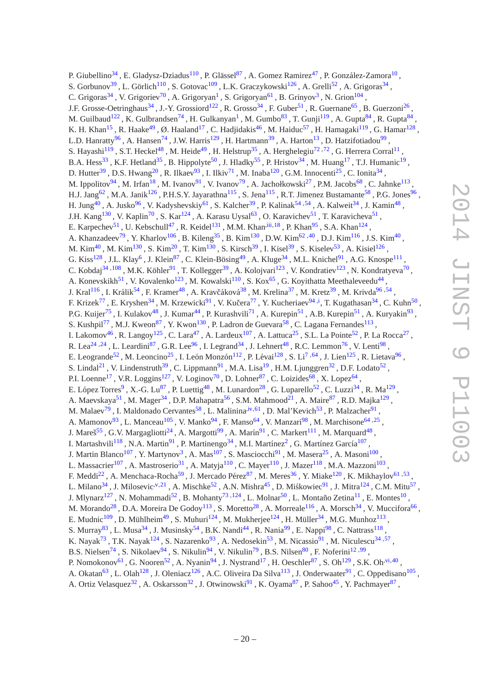P. Giubellino<sup>[34](#page-24-13)</sup>, E. Gladysz-Dziadus<sup>[110](#page-25-18)</sup>, P. Glässel<sup>[87](#page-25-10)</sup>, A. Gomez Ramirez<sup>[47](#page-24-31)</sup>, P. González-Zamora<sup>[10](#page-23-13)</sup>, S. Gorbunov<sup>[39](#page-24-8)</sup>, L. Görlich<sup>[110](#page-25-18)</sup>, S. Gotovac<sup>[109](#page-25-38)</sup>, L.K. Graczykowski<sup>[126](#page-25-39)</sup>, A. Grelli<sup>[52](#page-24-23)</sup>, A. Grigoras<sup>[34](#page-24-13)</sup>, C. Grigoras<sup>[34](#page-24-13)</sup>, V. Grigoriev<sup>[70](#page-24-27)</sup>, A. Grigoryan<sup>[1](#page-23-27)</sup>, S. Grigoryan<sup>[61](#page-24-18)</sup>, B. Grinyov<sup>[3](#page-23-4)</sup>, N. Grion<sup>[104](#page-25-37)</sup>, J.F. Grosse-Oetringhaus<sup>[34](#page-24-13)</sup>, J.-Y. Grossiord<sup>[122](#page-25-30)</sup>, R. Grosso<sup>34</sup>, F. Guber<sup>[51](#page-24-38)</sup>, R. Guernane<sup>[65](#page-24-12)</sup>, B. Guerzoni<sup>[26](#page-23-0)</sup>, M. Guilbaud<sup>[122](#page-25-30)</sup>, K. Gulbrandsen<sup>[74](#page-24-19)</sup>, H. Gulkanyan<sup>[1](#page-23-27)</sup>, M. Gumbo<sup>[83](#page-25-14)</sup>, T. Gunji<sup>[119](#page-25-40)</sup>, A. Gupta<sup>[84](#page-25-16)</sup>, R. Gupta<sup>84</sup>, K. H. Khan<sup>[15](#page-23-2)</sup>, R. Haake<sup>[49](#page-24-10)</sup>, Ø. Haaland<sup>[17](#page-23-5)</sup>, C. Hadjidakis<sup>[46](#page-24-34)</sup>, M. Haiduc<sup>[57](#page-24-36)</sup>, H. Hamagaki<sup>[119](#page-25-40)</sup>, G. Hamar<sup>[128](#page-25-17)</sup>, L.D. Hanratty<sup>[96](#page-25-5)</sup>, A. Hansen<sup>[74](#page-24-19)</sup>, J.W. Harris<sup>[129](#page-25-3)</sup>, H. Hartmann<sup>[39](#page-24-8)</sup>, A. Harton<sup>[13](#page-23-26)</sup>, D. Hatzifotiadou<sup>[99](#page-25-6)</sup>, S. Hayashi<sup>[119](#page-25-40)</sup>, S.T. Heckel<sup>[48](#page-24-11)</sup>, M. Heide<sup>[49](#page-24-10)</sup>, H. Helstrup<sup>[35](#page-24-7)</sup>, A. Herghelegiu<sup>[72](#page-24-9)[,72](#page-24-9)</sup>, G. Herrera Corral<sup>[11](#page-23-19)</sup>, B.A. Hess<sup>[33](#page-24-39)</sup>, K.F. Hetland<sup>[35](#page-24-7)</sup>, B. Hippolyte<sup>[50](#page-24-20)</sup>, J. Hladky<sup>[55](#page-24-40)</sup>, P. Hristov<sup>[34](#page-24-13)</sup>, M. Huang<sup>[17](#page-23-5)</sup>, T.J. Humanic<sup>[19](#page-23-25)</sup>, D. Hutter<sup>[39](#page-24-8)</sup>, D.S. Hwang<sup>[20](#page-23-28)</sup>, R. Ilkaev<sup>[93](#page-25-26)</sup>, I. Ilkiv<sup>[71](#page-24-37)</sup>, M. Inaba<sup>[120](#page-25-22)</sup>, G.M. Innocenti<sup>[25](#page-23-11)</sup>, C. Ionita<sup>[34](#page-24-13)</sup>, M. Ippolitov<sup>[94](#page-25-4)</sup>, M. Irfan<sup>[18](#page-23-1)</sup>, M. Ivanov<sup>[91](#page-25-9)</sup>, V. Ivanov<sup>[79](#page-24-22)</sup>, A. Jachołkowski<sup>[27](#page-23-8)</sup>, P.M. Jacobs<sup>[68](#page-24-26)</sup>, C. Jahnke<sup>[113](#page-25-8)</sup>, H.J. Jang<sup>[62](#page-24-5)</sup>, M.A. Janik<sup>[126](#page-25-39)</sup>, P.H.S.Y. Jayarathna<sup>[115](#page-25-19)</sup>, S. Jena<sup>115</sup>, R.T. Jimenez Bustamante<sup>[58](#page-24-35)</sup>, P.G. Jones<sup>[96](#page-25-5)</sup>, H. Jung<sup>[40](#page-24-16)</sup> , A. Jusko<sup>[96](#page-25-5)</sup> , V. Kadyshevskiy<sup>[61](#page-24-18)</sup> , S. Kalcher<sup>[39](#page-24-8)</sup> , P. Kalinak<sup>[54](#page-24-41) [,54](#page-24-41)</sup> , A. Kalweit<sup>[34](#page-24-13)</sup> , J. Kamin<sup>[48](#page-24-11)</sup> , J.H. Kang<sup>[130](#page-25-41)</sup>, V. Kaplin<sup>[70](#page-24-27)</sup>, S. Kar<sup>[124](#page-25-2)</sup>, A. Karasu Uysal<sup>[63](#page-24-42)</sup>, O. Karavichev<sup>[51](#page-24-38)</sup>, T. Karavicheva<sup>51</sup>, E. Karpechev<sup>[51](#page-24-38)</sup>, U. Kebschull<sup>[47](#page-24-31)</sup>, R. Keidel<sup>[131](#page-25-42)</sup>, M.M. Khan<sup>[,iii](#page-23-29), 18</sup>, P. Khan<sup>[95](#page-25-29)</sup>, S.A. Khan<sup>[124](#page-25-2)</sup>, A. Khanzadeev<sup>[79](#page-24-22)</sup>, Y. Kharlov<sup>[106](#page-25-23)</sup>, B. Kileng<sup>[35](#page-24-7)</sup>, B. Kim<sup>[130](#page-25-41)</sup>, D.W. Kim<sup>[62](#page-24-5), 40</sup>, D.J. Kim<sup>[116](#page-25-28)</sup>, J.S. Kim<sup>[40](#page-24-16)</sup>, M. Kim $^{40}$  $^{40}$  $^{40}$  , M. Kim $^{130}$  $^{130}$  $^{130}$  , S. Kim $^{20}$  $^{20}$  $^{20}$  , T. Kim $^{130}$  , S. Kirsch $^{39}$  $^{39}$  $^{39}$  , I. Kisel $^{39}$  , S. Kiselev $^{53}$  $^{53}$  $^{53}$  , A. Kisiel $^{126}$  $^{126}$  $^{126}$  , G. Kiss<sup>[128](#page-25-17)</sup>, J.L. Klay<sup>[6](#page-23-30)</sup>, J. Klein<sup>[87](#page-25-10)</sup>, C. Klein-Bösing<sup>[49](#page-24-10)</sup>, A. Kluge<sup>[34](#page-24-13)</sup>, M.L. Knichel<sup>[91](#page-25-9)</sup>, A.G. Knospe<sup>[111](#page-25-43)</sup> , C. Kobdaj<sup>[34](#page-24-13)[,108](#page-25-44)</sup>, M.K. Köhler<sup>[91](#page-25-9)</sup>, T. Kollegger<sup>[39](#page-24-8)</sup>, A. Kolojvari<sup>[123](#page-25-7)</sup>, V. Kondratiev<sup>123</sup>, N. Kondratyeva<sup>[70](#page-24-27)</sup>, A. Konevskikh<sup>[51](#page-24-38)</sup>, V. Kovalenko<sup>[123](#page-25-7)</sup>, M. Kowalski<sup>[110](#page-25-18)</sup>, S. Kox<sup>[65](#page-24-12)</sup>, G. Koyithatta Meethaleveedu<sup>[44](#page-24-4)</sup>, J. Kral<sup>[116](#page-25-28)</sup>, I. Králik<sup>[54](#page-24-41)</sup>, F. Kramer<sup>[48](#page-24-11)</sup>, A. Kravčáková<sup>[38](#page-24-28)</sup>, M. Krelina<sup>[37](#page-24-1)</sup>, M. Kretz<sup>[39](#page-24-8)</sup>, M. Krivda<sup>[96](#page-25-5)[,54](#page-24-41)</sup>, F. Krizek<sup>[77](#page-24-2)</sup>, E. Kryshen<sup>[34](#page-24-13)</sup>, M. Krzewicki<sup>[91](#page-25-9)</sup>, V. Kučera<sup>77</sup>, Y. Kucheriaev<sup>[94](#page-25-4)[,i](#page-23-23)</sup>, T. Kugathasan<sup>34</sup>, C. Kuhn<sup>[50](#page-24-20)</sup>, P.G. Kuijer<sup>[75](#page-24-30)</sup>, I. Kulakov<sup>[48](#page-24-11)</sup>, J. Kumar<sup>[44](#page-24-4)</sup>, P. Kurashvili<sup>[71](#page-24-37)</sup>, A. Kurepin<sup>[51](#page-24-38)</sup>, A.B. Kurepin<sup>51</sup>, A. Kuryakin<sup>[93](#page-25-26)</sup>, S. Kushpil<sup>[77](#page-24-2)</sup>, M.J. Kweon<sup>[87](#page-25-10)</sup>, Y. Kwon<sup>[130](#page-25-41)</sup>, P. Ladron de Guevara<sup>[58](#page-24-35)</sup>, C. Lagana Fernandes<sup>[113](#page-25-8)</sup>, I. Lakomov<sup>[46](#page-24-34)</sup>, R. Langoy<sup>[125](#page-25-45)</sup>, C. Lara<sup>[47](#page-24-31)</sup>, A. Lardeux<sup>[107](#page-25-13)</sup>, A. Lattuca<sup>[25](#page-23-11)</sup>, S.L. La Pointe<sup>[52](#page-24-23)</sup>, P. La Rocca<sup>[27](#page-23-8)</sup>, R. Lea<sup>[24](#page-23-16)[,24](#page-23-16)</sup>, L. Leardini<sup>[87](#page-25-10)</sup>, G.R. Lee<sup>[96](#page-25-5)</sup>, I. Legrand<sup>[34](#page-24-13)</sup>, J. Lehnert<sup>[48](#page-24-11)</sup>, R.C. Lemmon<sup>[76](#page-24-43)</sup>, V. Lenti<sup>[98](#page-25-33)</sup>, E. Leogrande<sup>[52](#page-24-23)</sup>, M. Leoncino<sup>[25](#page-23-11)</sup>, I. León Monzón<sup>[112](#page-25-46)</sup>, P. Lévai<sup>[128](#page-25-17)</sup>, S. Li<sup>[7](#page-23-15)[,64](#page-24-15)</sup>, J. Lien<sup>[125](#page-25-45)</sup>, R. Lietava<sup>[96](#page-25-5)</sup>, S. Lindal<sup>[21](#page-23-10)</sup>, V. Lindenstruth<sup>[39](#page-24-8)</sup>, C. Lippmann<sup>[91](#page-25-9)</sup>, M.A. Lisa<sup>[19](#page-23-25)</sup>, H.M. Ljunggren<sup>[32](#page-24-33)</sup>, D.F. Lodato<sup>[52](#page-24-23)</sup>, P.I. Loenne<sup>[17](#page-23-5)</sup>, V.R. Loggins<sup>[127](#page-25-20)</sup>, V. Loginov<sup>[70](#page-24-27)</sup>, D. Lohner<sup>[87](#page-25-10)</sup>, C. Loizides<sup>[68](#page-24-26)</sup>, X. Lopez<sup>[64](#page-24-15)</sup>, E. López Torres<sup>[9](#page-23-18)</sup>, X.-G. Lu $^{87}$  $^{87}$  $^{87}$ , P. Luettig<sup>[48](#page-24-11)</sup>, M. Lunardon<sup>[28](#page-23-14)</sup>, G. Luparello<sup>[52](#page-24-23)</sup>, C. Luzzi<sup>[34](#page-24-13)</sup>, R. Ma<sup>[129](#page-25-3)</sup>, A. Maevskaya<sup>[51](#page-24-38)</sup>, M. Mager<sup>[34](#page-24-13)</sup>, D.P. Mahapatra<sup>[56](#page-24-17)</sup>, S.M. Mahmood<sup>[21](#page-23-10)</sup>, A. Maire<sup>[87](#page-25-10)</sup>, R.D. Majka<sup>[129](#page-25-3)</sup>, M. Malaev<sup>[79](#page-24-22)</sup>, I. Maldonado Cervantes<sup>[58](#page-24-35)</sup>, L. Malinina<sup>[,iv](#page-23-31), 61</sup>, D. Mal'Kevich<sup>[53](#page-24-6)</sup>, P. Malzacher<sup>[91](#page-25-9)</sup>, A. Mamonov<sup>[93](#page-25-26)</sup>, L. Manceau<sup>[105](#page-25-0)</sup>, V. Manko<sup>[94](#page-25-4)</sup>, F. Manso<sup>[64](#page-24-15)</sup>, V. Manzari<sup>[98](#page-25-33)</sup>, M. Marchisone<sup>64, 25</sup>, J. Mareš<sup>[55](#page-24-40)</sup>, G.V. Margagliotti<sup>[24](#page-23-16)</sup>, A. Margotti<sup>[99](#page-25-6)</sup>, A. Marín<sup>[91](#page-25-9)</sup>, C. Markert<sup>[111](#page-25-43)</sup>, M. Marquard<sup>[48](#page-24-11)</sup>, I. Martashvili $^{118}$  $^{118}$  $^{118}$ , N.A. Martin $^{91}$  $^{91}$  $^{91}$ , P. Martinengo<sup>[34](#page-24-13)</sup>, M.I. Martínez<sup>[2](#page-23-21)</sup>, G. Martínez García $^{107}$  $^{107}$  $^{107}$ , J. Martin Blanco<sup>[107](#page-25-13)</sup>, Y. Martynov<sup>[3](#page-23-4)</sup>, A. Mas<sup>107</sup>, S. Masciocchi<sup>[91](#page-25-9)</sup>, M. Masera<sup>[25](#page-23-11)</sup>, A. Masoni<sup>[100](#page-25-31)</sup>, L. Massacrier<sup>[107](#page-25-13)</sup>, A. Mastroserio<sup>[31](#page-23-9)</sup>, A. Matyja<sup>[110](#page-25-18)</sup>, C. Mayer<sup>110</sup>, J. Mazer<sup>[118](#page-25-47)</sup>, M.A. Mazzoni<sup>[103](#page-25-34)</sup>, F. Meddi<sup>[22](#page-23-32)</sup> , A. Menchaca-Rocha<sup>[59](#page-24-21)</sup> , J. Mercado Pérez<sup>[87](#page-25-10)</sup> , M. Meres<sup>[36](#page-24-44)</sup> , Y. Miake<sup>[120](#page-25-22)</sup> , K. Mikhaylov<sup>[61](#page-24-18) [,53](#page-24-6)</sup> , L. Milano<sup>[34](#page-24-13)</sup>, J. Milosevic<sup>[,v,](#page-23-33)[21](#page-23-10)</sup>, A. Mischke<sup>[52](#page-24-23)</sup>, A.N. Mishra<sup>[45](#page-24-45)</sup>, D. Miśkowiec<sup>[91](#page-25-9)</sup>, J. Mitra<sup>[124](#page-25-2)</sup>, C.M. Mitu<sup>[57](#page-24-36)</sup>, J. Mlynarz $^{127}$  $^{127}$  $^{127}$  , N. Mohammadi $^{52}$  $^{52}$  $^{52}$  , B. Mohanty $^{73}$  $^{73}$  $^{73}$  <sup>, 124</sup> , L. Molnar $^{50}$  $^{50}$  $^{50}$  , L. Montaño Zetina $^{11}$  $^{11}$  $^{11}$  , E. Montes $^{10}$  $^{10}$  $^{10}$  , M. Morando<sup>[28](#page-23-14)</sup>, D.A. Moreira De Godoy<sup>[113](#page-25-8)</sup>, S. Moretto<sup>28</sup>, A. Morreale<sup>[116](#page-25-28)</sup>, A. Morsch<sup>[34](#page-24-13)</sup>, V. Muccifora<sup>[66](#page-24-25)</sup>, E. Mudnic $^{109}$  $^{109}$  $^{109}$  , D. Mühlheim $^{49}$  $^{49}$  $^{49}$  , S. Muhuri $^{124}$  $^{124}$  $^{124}$  , M. Mukherjee $^{124}$  , H. Müller $^{34}$  $^{34}$  $^{34}$  , M.G. Munhoz $^{113}$  $^{113}$  $^{113}$  , S. Murray<sup>[83](#page-25-14)</sup>, L. Musa<sup>[34](#page-24-13)</sup>, J. Musinsky<sup>[54](#page-24-41)</sup>, B.K. Nandi<sup>[44](#page-24-4)</sup>, R. Nania<sup>[99](#page-25-6)</sup>, E. Nappi<sup>[98](#page-25-33)</sup>, C. Nattrass<sup>[118](#page-25-47)</sup>, K. Nayak<sup>[73](#page-24-46)</sup>, T.K. Nayak<sup>[124](#page-25-2)</sup>, S. Nazarenko<sup>[93](#page-25-26)</sup>, A. Nedosekin<sup>[53](#page-24-6)</sup>, M. Nicassio<sup>[91](#page-25-9)</sup>, M. Niculescu<sup>[34](#page-24-13)[,57](#page-24-36)</sup>, B.S. Nielsen<sup>[74](#page-24-19)</sup>, S. Nikolaev<sup>[94](#page-25-4)</sup>, S. Nikulin<sup>94</sup>, V. Nikulin<sup>[79](#page-24-22)</sup>, B.S. Nilsen<sup>[80](#page-24-32)</sup>, F. Noferini<sup>[12](#page-23-3)[,99](#page-25-6)</sup>, P. Nomokonov<sup>[61](#page-24-18)</sup>, G. Nooren<sup>[52](#page-24-23)</sup>, A. Nyanin<sup>[94](#page-25-4)</sup>, J. Nystrand<sup>[17](#page-23-5)</sup>, H. Oeschler<sup>[87](#page-25-10)</sup>, S. Oh<sup>[129](#page-25-3)</sup>, S.K. Oh<sup>[,vi](#page-23-34)[,40](#page-24-16)</sup>, A. Okatan<sup>[63](#page-24-42)</sup>, L. Olah<sup>[128](#page-25-17)</sup>, J. Oleniacz<sup>[126](#page-25-39)</sup>, A.C. Oliveira Da Silva<sup>[113](#page-25-8)</sup>, J. Onderwaater<sup>[91](#page-25-9)</sup>, C. Oppedisano<sup>[105](#page-25-0)</sup>,

A. Ortiz Velasquez<sup>[32](#page-24-33)</sup>, A. Oskarsson<sup>32</sup>, J. Otwinowski<sup>[91](#page-25-9)</sup>, K. Oyama<sup>[87](#page-25-10)</sup>, P. Sahoo<sup>[45](#page-24-45)</sup>, Y. Pachmayer<sup>87</sup>,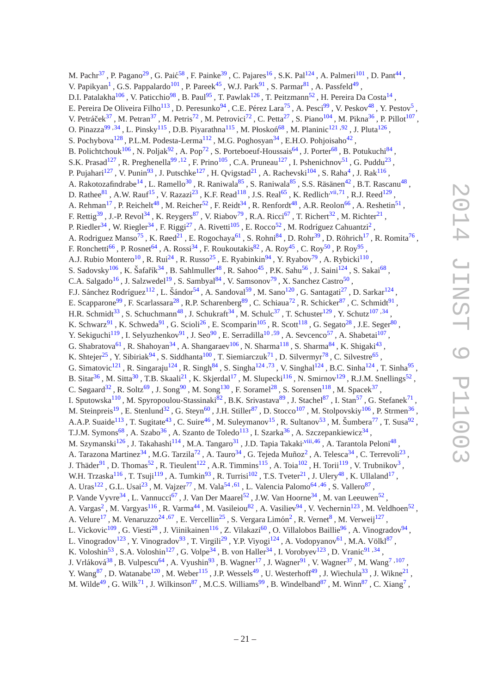M. Pachr<sup>[37](#page-24-1)</sup>, P. Pagano<sup>[29](#page-23-24)</sup>, G. Paić<sup>[58](#page-24-35)</sup>, F. Painke<sup>[39](#page-24-8)</sup>, C. Pajares<sup>[16](#page-23-6)</sup>, S.K. Pal<sup>[124](#page-25-2)</sup>, A. Palmeri<sup>[101](#page-25-15)</sup>, D. Pant<sup>[44](#page-24-4)</sup>, V. Papikyan<sup>[1](#page-23-27)</sup>, G.S. Pappalardo<sup>[101](#page-25-15)</sup>, P. Pareek<sup>[45](#page-24-45)</sup>, W.J. Park<sup>[91](#page-25-9)</sup>, S. Parmar<sup>[81](#page-24-3)</sup>, A. Passfeld<sup>[49](#page-24-10)</sup>, D.I. Patalakha<sup>[106](#page-25-23)</sup>, V. Paticchio<sup>[98](#page-25-33)</sup>, B. Paul<sup>[95](#page-25-29)</sup>, T. Pawlak<sup>[126](#page-25-39)</sup>, T. Peitzmann<sup>[52](#page-24-23)</sup>, H. Pereira Da Costa<sup>[14](#page-23-7)</sup>, E. Pereira De Oliveira Filho<sup>[113](#page-25-8)</sup>, D. Peresunko<sup>[94](#page-25-4)</sup>, C.E. Pérez Lara<sup>[75](#page-24-30)</sup>, A. Pesci<sup>[99](#page-25-6)</sup>, V. Peskov<sup>[48](#page-24-11)</sup>, Y. Pestov<sup>[5](#page-23-35)</sup>, V. Petráček<sup>[37](#page-24-1)</sup>, M. Petran<sup>37</sup>, M. Petris<sup>[72](#page-24-9)</sup>, M. Petrovici<sup>72</sup>, C. Petta<sup>[27](#page-23-8)</sup>, S. Piano<sup>[104](#page-25-37)</sup>, M. Pikna<sup>[36](#page-24-44)</sup>, P. Pillot<sup>[107](#page-25-13)</sup>, O. Pinazza<sup>[99](#page-25-6)[,34](#page-24-13)</sup>, L. Pinsky<sup>[115](#page-25-19)</sup>, D.B. Piyarathna<sup>115</sup>, M. Płoskoń<sup>[68](#page-24-26)</sup>, M. Planinic<sup>[121](#page-25-48)[,92](#page-25-11)</sup>, J. Pluta<sup>[126](#page-25-39)</sup>, S. Pochybova<sup>[128](#page-25-17)</sup>, P.L.M. Podesta-Lerma<sup>[112](#page-25-46)</sup>, M.G. Poghosyan<sup>[34](#page-24-13)</sup>, E.H.O. Pohjoisaho<sup>[42](#page-24-47)</sup>, B. Polichtchouk<sup>[106](#page-25-23)</sup>, N. Poljak<sup>[92](#page-25-11)</sup>, A. Pop<sup>[72](#page-24-9)</sup>, S. Porteboeuf-Houssais<sup>[64](#page-24-15)</sup>, J. Porter<sup>[68](#page-24-26)</sup>, B. Potukuchi<sup>[84](#page-25-16)</sup>, S.K. Prasad<sup>[127](#page-25-20)</sup>, R. Preghenella<sup>[99](#page-25-6)[,12](#page-23-3)</sup>, F. Prino<sup>[105](#page-25-0)</sup>, C.A. Pruneau<sup>127</sup>, I. Pshenichnov<sup>[51](#page-24-38)</sup>, G. Puddu<sup>[23](#page-23-17)</sup>, P. Pujahari<sup>[127](#page-25-20)</sup>, V. Punin<sup>[93](#page-25-26)</sup>, J. Putschke<sup>127</sup>, H. Qvigstad<sup>[21](#page-23-10)</sup>, A. Rachevski<sup>[104](#page-25-37)</sup>, S. Raha<sup>[4](#page-23-22)</sup>, J. Rak<sup>[116](#page-25-28)</sup>, A. Rakotozafindrabe<sup>[14](#page-23-7)</sup>, L. Ramello<sup>[30](#page-23-20)</sup>, R. Raniwala<sup>[85](#page-25-49)</sup>, S. Raniwala<sup>85</sup>, S.S. Räsänen<sup>[42](#page-24-47)</sup>, B.T. Rascanu<sup>[48](#page-24-11)</sup>, D. Rathee $^{81}$  $^{81}$  $^{81}$ , A.W. Rauf<sup>[15](#page-23-2)</sup>, V. Razazi<sup>[23](#page-23-17)</sup>, K.F. Read<sup>[118](#page-25-47)</sup>, J.S. Real<sup>[65](#page-24-12)</sup>, K. Redlich<sup>[,vii](#page-23-36)[,71](#page-24-37)</sup>, R.J. Reed<sup>[129](#page-25-3)</sup>, A. Rehman<sup>[17](#page-23-5)</sup>, P. Reichelt<sup>[48](#page-24-11)</sup>, M. Reicher<sup>[52](#page-24-23)</sup>, F. Reidt<sup>[34](#page-24-13)</sup>, R. Renfordt<sup>48</sup>, A.R. Reolon<sup>[66](#page-24-25)</sup>, A. Reshetin<sup>[51](#page-24-38)</sup>, F. Rettig<sup>[39](#page-24-8)</sup>, J.-P. Revol<sup>[34](#page-24-13)</sup>, K. Reygers<sup>[87](#page-25-10)</sup>, V. Riabov<sup>[79](#page-24-22)</sup>, R.A. Ricci<sup>[67](#page-24-48)</sup>, T. Richert<sup>[32](#page-24-33)</sup>, M. Richter<sup>[21](#page-23-10)</sup>, P. Riedler<sup>[34](#page-24-13)</sup>, W. Riegler<sup>34</sup>, F. Riggi<sup>[27](#page-23-8)</sup>, A. Rivetti<sup>[105](#page-25-0)</sup>, E. Rocco<sup>[52](#page-24-23)</sup>, M. Rodríguez Cahuantzi<sup>[2](#page-23-21)</sup>, A. Rodriguez Manso<sup>[75](#page-24-30)</sup>, K. Røed<sup>[21](#page-23-10)</sup>, E. Rogochaya<sup>[61](#page-24-18)</sup>, S. Rohni<sup>[84](#page-25-16)</sup>, D. Rohr<sup>[39](#page-24-8)</sup>, D. Röhrich<sup>[17](#page-23-5)</sup>, R. Romita<sup>[76](#page-24-43)</sup>, F. Ronchetti<sup>[66](#page-24-25)</sup>, P. Rosnet<sup>[64](#page-24-15)</sup>, A. Rossi<sup>[34](#page-24-13)</sup>, F. Roukoutakis<sup>[82](#page-25-36)</sup>, A. Roy<sup>[45](#page-24-45)</sup>, C. Roy<sup>[50](#page-24-20)</sup>, P. Roy<sup>[95](#page-25-29)</sup>, A.J. Rubio Montero<sup>[10](#page-23-13)</sup>, R. Rui<sup>[24](#page-23-16)</sup>, R. Russo<sup>[25](#page-23-11)</sup>, E. Ryabinkin<sup>[94](#page-25-4)</sup>, Y. Ryabov<sup>[79](#page-24-22)</sup>, A. Rybicki<sup>[110](#page-25-18)</sup>, S. Sadovsky<sup>[106](#page-25-23)</sup>, K. Šafařík<sup>[34](#page-24-13)</sup>, B. Sahlmuller<sup>[48](#page-24-11)</sup>, R. Sahoo<sup>[45](#page-24-45)</sup>, P.K. Sahu<sup>[56](#page-24-17)</sup>, J. Saini<sup>[124](#page-25-2)</sup>, S. Sakai<sup>[68](#page-24-26)</sup>, C.A. Salgado<sup>[16](#page-23-6)</sup>, J. Salzwedel<sup>[19](#page-23-25)</sup>, S. Sambyal<sup>[84](#page-25-16)</sup>, V. Samsonov<sup>[79](#page-24-22)</sup>, X. Sanchez Castro<sup>[50](#page-24-20)</sup>, F.J. Sánchez Rodríguez<sup>[112](#page-25-46)</sup>, L. Šándor<sup>[54](#page-24-41)</sup>, A. Sandoval<sup>[59](#page-24-21)</sup>, M. Sano<sup>[120](#page-25-22)</sup>, G. Santagati<sup>[27](#page-23-8)</sup>, D. Sarkar<sup>[124](#page-25-2)</sup>, E. Scapparone<sup>[99](#page-25-6)</sup>, F. Scarlassara<sup>[28](#page-23-14)</sup>, R.P. Scharenberg<sup>[89](#page-25-25)</sup>, C. Schiaua<sup>[72](#page-24-9)</sup>, R. Schicker<sup>[87](#page-25-10)</sup>, C. Schmidt<sup>[91](#page-25-9)</sup>, H.R. Schmidt<sup>[33](#page-24-39)</sup>, S. Schuchmann<sup>[48](#page-24-11)</sup>, J. Schukraft<sup>[34](#page-24-13)</sup>, M. Schulc<sup>[37](#page-24-1)</sup>, T. Schuster<sup>[129](#page-25-3)</sup>, Y. Schutz<sup>[107](#page-25-13)[,34](#page-24-13)</sup>, K. Schwarz<sup>[91](#page-25-9)</sup>, K. Schweda<sup>91</sup>, G. Scioli<sup>[26](#page-23-0)</sup>, E. Scomparin<sup>[105](#page-25-0)</sup>, R. Scott<sup>[118](#page-25-47)</sup>, G. Segato<sup>[28](#page-23-14)</sup>, J.E. Seger<sup>[80](#page-24-32)</sup>, Y. Sekiguchi<sup>[119](#page-25-40)</sup>, I. Selyuzhenkov<sup>[91](#page-25-9)</sup>, J. Seo<sup>[90](#page-25-24)</sup>, E. Serradilla<sup>[10](#page-23-13)[,59](#page-24-21)</sup>, A. Sevcenco<sup>[57](#page-24-36)</sup>, A. Shabetai<sup>[107](#page-25-13)</sup>, G. Shabratova<sup>[61](#page-24-18)</sup>, R. Shahoyan<sup>[34](#page-24-13)</sup>, A. Shangaraev<sup>[106](#page-25-23)</sup>, N. Sharma<sup>[118](#page-25-47)</sup>, S. Sharma<sup>[84](#page-25-16)</sup>, K. Shigaki<sup>[43](#page-24-49)</sup>, K. Shtejer<sup>[25](#page-23-11)</sup>, Y. Sibiriak<sup>[94](#page-25-4)</sup>, S. Siddhanta<sup>[100](#page-25-31)</sup>, T. Siemiarczuk<sup>[71](#page-24-37)</sup>, D. Silvermyr<sup>[78](#page-24-14)</sup>, C. Silvestre<sup>[65](#page-24-12)</sup>, G. Simatovic<sup>[121](#page-25-48)</sup>, R. Singaraju<sup>[124](#page-25-2)</sup>, R. Singh<sup>[84](#page-25-16)</sup>, S. Singha<sup>124[,73](#page-24-46)</sup>, V. Singhal<sup>124</sup>, B.C. Sinha<sup>124</sup>, T. Sinha<sup>[95](#page-25-29)</sup>, B. Sitar<sup>[36](#page-24-44)</sup>, M. Sitta<sup>[30](#page-23-20)</sup>, T.B. Skaali<sup>[21](#page-23-10)</sup>, K. Skjerdal<sup>[17](#page-23-5)</sup>, M. Slupecki<sup>[116](#page-25-28)</sup>, N. Smirnov<sup>[129](#page-25-3)</sup>, R.J.M. Snellings<sup>[52](#page-24-23)</sup>, C. Søgaard<sup>[32](#page-24-33)</sup>, R. Soltz<sup>[69](#page-24-0)</sup>, J. Song<sup>[90](#page-25-24)</sup>, M. Song<sup>[130](#page-25-41)</sup>, F. Soramel<sup>[28](#page-23-14)</sup>, S. Sorensen<sup>[118](#page-25-47)</sup>, M. Spacek<sup>[37](#page-24-1)</sup>, I. Sputowska<sup>[110](#page-25-18)</sup>, M. Spyropoulou-Stassinaki<sup>[82](#page-25-36)</sup>, B.K. Srivastava<sup>[89](#page-25-25)</sup>, J. Stachel<sup>[87](#page-25-10)</sup>, I. Stan<sup>[57](#page-24-36)</sup>, G. Stefanek<sup>[71](#page-24-37)</sup>, M. Steinpreis<sup>[19](#page-23-25)</sup>, E. Stenlund<sup>[32](#page-24-33)</sup>, G. Steyn<sup>[60](#page-24-29)</sup>, J.H. Stiller<sup>[87](#page-25-10)</sup>, D. Stocco<sup>[107](#page-25-13)</sup>, M. Stolpovskiy<sup>[106](#page-25-23)</sup>, P. Strmen<sup>[36](#page-24-44)</sup>, A.A.P. Suaide<sup>[113](#page-25-8)</sup>, T. Sugitate<sup>[43](#page-24-49)</sup>, C. Suire<sup>[46](#page-24-34)</sup>, M. Suleymanov<sup>[15](#page-23-2)</sup>, R. Sultanov<sup>[53](#page-24-6)</sup>, M. Šumbera<sup>[77](#page-24-2)</sup>, T. Susa<sup>[92](#page-25-11)</sup>, T.J.M. Symons<sup>[68](#page-24-26)</sup>, A. Szabo<sup>[36](#page-24-44)</sup>, A. Szanto de Toledo<sup>[113](#page-25-8)</sup>, I. Szarka<sup>36</sup>, A. Szczepankiewicz<sup>[34](#page-24-13)</sup>, M. Szymanski $^{126}$  $^{126}$  $^{126}$  , J. Takahashi $^{114}$  $^{114}$  $^{114}$  , M.A. Tangaro $^{31}$  $^{31}$  $^{31}$  , J.D. Tapia Takaki<sup>[,viii](#page-23-37)[,46](#page-24-34)</sup> , A. Tarantola Peloni $^{48}$  $^{48}$  $^{48}$  , A. Tarazona Martinez $^{34}$  $^{34}$  $^{34}$  , M.G. Tarzila $^{72}$  $^{72}$  $^{72}$  , A. Tauro $^{34}$  , G. Tejeda Muñoz $^2$  $^2$  , A. Telesca $^{34}$  , C. Terrevoli $^{23}$  $^{23}$  $^{23}$  , J. Thäder<sup>[91](#page-25-9)</sup>, D. Thomas<sup>[52](#page-24-23)</sup>, R. Tieulent<sup>[122](#page-25-30)</sup>, A.R. Timmins<sup>[115](#page-25-19)</sup>, A. Toia<sup>[102](#page-25-12)</sup>, H. Torii<sup>[119](#page-25-40)</sup>, V. Trubnikov<sup>[3](#page-23-4)</sup>, W.H. Trzaska<sup>[116](#page-25-28)</sup>, T. Tsuji<sup>[119](#page-25-40)</sup>, A. Tumkin<sup>[93](#page-25-26)</sup>, R. Turrisi<sup>[102](#page-25-12)</sup>, T.S. Tveter<sup>[21](#page-23-10)</sup>, J. Ulery<sup>[48](#page-24-11)</sup>, K. Ullaland<sup>[17](#page-23-5)</sup>, A. Uras<sup>[122](#page-25-30)</sup>, G.L. Usai<sup>[23](#page-23-17)</sup>, M. Vajzer<sup>[77](#page-24-2)</sup>, M. Vala<sup>[54](#page-24-41), 61</sup>, L. Valencia Palomo<sup>[64](#page-24-15), 46</sup>, S. Vallero<sup>[87](#page-25-10)</sup>, P. Vande Vyvre<sup>[34](#page-24-13)</sup>, L. Vannucci<sup>[67](#page-24-48)</sup>, J. Van Der Maarel<sup>[52](#page-24-23)</sup>, J.W. Van Hoorne<sup>34</sup>, M. van Leeuwen<sup>52</sup>, A. Vargas<sup>[2](#page-23-21)</sup>, M. Vargyas<sup>[116](#page-25-28)</sup>, R. Varma<sup>[44](#page-24-4)</sup>, M. Vasileiou<sup>[82](#page-25-36)</sup>, A. Vasiliev<sup>[94](#page-25-4)</sup>, V. Vechernin<sup>[123](#page-25-7)</sup>, M. Veldhoen<sup>[52](#page-24-23)</sup>, A. Velure<sup>[17](#page-23-5)</sup>, M. Venaruzzo<sup>[24](#page-23-16)[,67](#page-24-48)</sup>, E. Vercellin<sup>[25](#page-23-11)</sup>, S. Vergara Limón<sup>[2](#page-23-21)</sup>, R. Vernet<sup>[8](#page-23-38)</sup>, M. Verweij<sup>[127](#page-25-20)</sup>, L. Vickovic<sup>[109](#page-25-38)</sup>, G. Viesti<sup>[28](#page-23-14)</sup>, J. Viinikainen<sup>[116](#page-25-28)</sup>, Z. Vilakazi<sup>[60](#page-24-29)</sup>, O. Villalobos Baillie<sup>[96](#page-25-5)</sup>, A. Vinogradov<sup>[94](#page-25-4)</sup>, L. Vinogradov<sup>[123](#page-25-7)</sup>, Y. Vinogradov<sup>[93](#page-25-26)</sup>, T. Virgili<sup>[29](#page-23-24)</sup>, Y.P. Viyogi<sup>[124](#page-25-2)</sup>, A. Vodopyanov<sup>[61](#page-24-18)</sup>, M.A. Völkl<sup>[87](#page-25-10)</sup>, K. Voloshin<sup>[53](#page-24-6)</sup>, S.A. Voloshin<sup>[127](#page-25-20)</sup>, G. Volpe<sup>[34](#page-24-13)</sup>, B. von Haller<sup>34</sup>, I. Vorobyev<sup>[123](#page-25-7)</sup>, D. Vranic<sup>[91](#page-25-9)[,34](#page-24-13)</sup>, J. Vrláková<sup>[38](#page-24-28)</sup>, B. Vulpescu<sup>[64](#page-24-15)</sup>, A. Vyushin<sup>[93](#page-25-26)</sup>, B. Wagner<sup>[17](#page-23-5)</sup>, J. Wagner<sup>[91](#page-25-9)</sup>, V. Wagner<sup>[37](#page-24-1)</sup>, M. Wang<sup>[7](#page-23-15)[,107](#page-25-13)</sup>, Y. Wang<sup>[87](#page-25-10)</sup>, D. Watanabe<sup>[120](#page-25-22)</sup>, M. Weber<sup>[115](#page-25-19)</sup>, J.P. Wessels<sup>[49](#page-24-10)</sup>, U. Westerhoff<sup>49</sup>, J. Wiechula<sup>[33](#page-24-39)</sup>, J. Wikne<sup>[21](#page-23-10)</sup>,

M. Wilde<sup>[49](#page-24-10)</sup>, G. Wilk<sup>[71](#page-24-37)</sup>, J. Wilkinson<sup>[87](#page-25-10)</sup>, M.C.S. Williams<sup>[99](#page-25-6)</sup>, B. Windelband<sup>8[7](#page-23-15)</sup>, M. Winn<sup>87</sup>, C. Xiang<sup>7</sup>,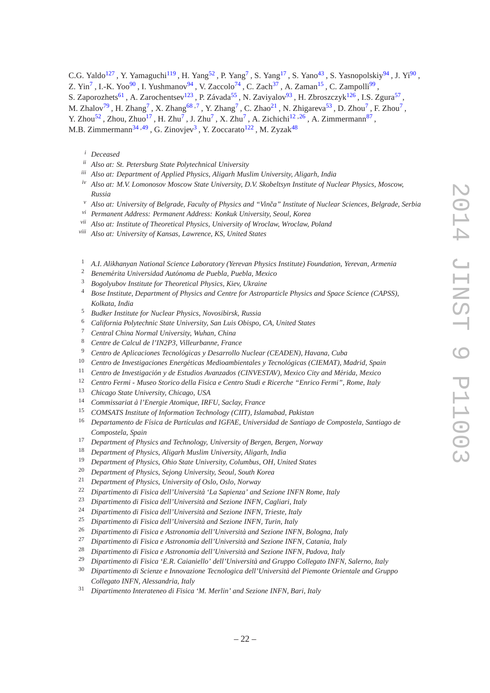C.G. Yaldo<sup>[127](#page-25-20)</sup>, Y. Yamaguchi<sup>[119](#page-25-40)</sup>, H. Yang<sup>[52](#page-24-23)</sup>, P. Yang<sup>[7](#page-23-15)</sup>, S. Yang<sup>[17](#page-23-5)</sup>, S. Yano<sup>[43](#page-24-49)</sup>, S. Yasnopolskiy<sup>[94](#page-25-4)</sup>, J. Yi<sup>[90](#page-25-24)</sup>, Z. Yin<sup>[7](#page-23-15)</sup>, I.-K. Yoo<sup>[90](#page-25-24)</sup>, I. Yushmanov<sup>[94](#page-25-4)</sup>, V. Zaccolo<sup>[74](#page-24-19)</sup>, C. Zach<sup>[37](#page-24-1)</sup>, A. Zaman<sup>[15](#page-23-2)</sup>, C. Zampolli<sup>[99](#page-25-6)</sup>, S. Zaporozhets<sup>[61](#page-24-18)</sup>, A. Zarochentsev<sup>[123](#page-25-7)</sup>, P. Závada<sup>[55](#page-24-40)</sup>, N. Zaviyalov<sup>[93](#page-25-26)</sup>, H. Zbroszczyk<sup>[126](#page-25-39)</sup>, I.S. Zgura<sup>[57](#page-24-36)</sup>, M. Zhalov<sup>[79](#page-24-22)</sup>, H. Zhang<sup>[7](#page-23-15)</sup>, X. Zhang<sup>[68](#page-24-26)[,7](#page-23-15)</sup>, Y. Zhang<sup>7</sup>, C. Zhao<sup>[21](#page-23-10)</sup>, N. Zhigareva<sup>[53](#page-24-6)</sup>, D. Zhou<sup>7</sup>, F. Zhou<sup>7</sup>,

Y. Zhou<sup>[52](#page-24-23)</sup>, Zhou, Zhuo<sup>[17](#page-23-5)</sup>, H. Zhu<sup>[7](#page-23-15)</sup>, J. Zhu<sup>7</sup>, X. Zhu<sup>7</sup>, A. Zichichi<sup>[12](#page-23-3), 26</sup>, A. Zimmermann<sup>[87](#page-25-10)</sup>,

<span id="page-23-23"></span>M.B. Zimmermann<sup>[34](#page-24-13)[,49](#page-24-10)</sup>, G. Zinovjev<sup>[3](#page-23-4)</sup>, Y. Zoccarato<sup>[122](#page-25-30)</sup>, M. Zyzak<sup>[48](#page-24-11)</sup>

- <span id="page-23-29"></span>*ii Also at: St. Petersburg State Polytechnical University*
- <span id="page-23-31"></span>*iii Also at: Department of Applied Physics, Aligarh Muslim University, Aligarh, India*
- <span id="page-23-33"></span>*iv Also at: M.V. Lomonosov Moscow State University, D.V. Skobeltsyn Institute of Nuclear Physics, Moscow, Russia*
- <span id="page-23-34"></span>*<sup>v</sup> Also at: University of Belgrade, Faculty of Physics and "Vinˇca" Institute of Nuclear Sciences, Belgrade, Serbia*
- <span id="page-23-36"></span>*vi Permanent Address: Permanent Address: Konkuk University, Seoul, Korea*
- <span id="page-23-37"></span>*vii Also at: Institute of Theoretical Physics, University of Wroclaw, Wroclaw, Poland*
- *viii Also at: University of Kansas, Lawrence, KS, United States*
- <span id="page-23-27"></span><span id="page-23-21"></span><sup>1</sup> *A.I. Alikhanyan National Science Laboratory (Yerevan Physics Institute) Foundation, Yerevan, Armenia*
- <span id="page-23-4"></span><sup>2</sup> *Benem´erita Universidad Aut´onoma de Puebla, Puebla, Mexico*
- <span id="page-23-22"></span><sup>3</sup> *Bogolyubov Institute for Theoretical Physics, Kiev, Ukraine*
- <span id="page-23-35"></span><sup>4</sup> *Bose Institute, Department of Physics and Centre for Astroparticle Physics and Space Science (CAPSS), Kolkata, India*
- <span id="page-23-30"></span><sup>5</sup> *Budker Institute for Nuclear Physics, Novosibirsk, Russia*
- <span id="page-23-15"></span><sup>6</sup> *California Polytechnic State University, San Luis Obispo, CA, United States*
- <span id="page-23-38"></span><sup>7</sup> *Central China Normal University, Wuhan, China*
- <span id="page-23-18"></span><sup>8</sup> *Centre de Calcul de l'IN2P3, Villeurbanne, France*
- <span id="page-23-13"></span><sup>9</sup> Centro de Aplicaciones Tecnológicas y Desarrollo Nuclear (CEADEN), Havana, Cuba
- <span id="page-23-19"></span><sup>10</sup> Centro de Investigaciones Energéticas Medioambientales y Tecnológicas (CIEMAT), Madrid, Spain
- <span id="page-23-3"></span><sup>11</sup> Centro de Investigación y de Estudios Avanzados (CINVESTAV), Mexico City and Mérida, Mexico
- <span id="page-23-26"></span><sup>12</sup> *Centro Fermi - Museo Storico della Fisica e Centro Studi e Ricerche "Enrico Fermi", Rome, Italy*
- <span id="page-23-7"></span><sup>13</sup> *Chicago State University, Chicago, USA*
- <span id="page-23-2"></span><sup>14</sup> *Commissariat `a l'Energie Atomique, IRFU, Saclay, France*
- <span id="page-23-6"></span><sup>15</sup> *COMSATS Institute of Information Technology (CIIT), Islamabad, Pakistan*
- <sup>16</sup> *Departamento de F´ısica de Part´ıculas and IGFAE, Universidad de Santiago de Compostela, Santiago de Compostela, Spain*
- <span id="page-23-5"></span><span id="page-23-1"></span><sup>17</sup> *Department of Physics and Technology, University of Bergen, Bergen, Norway*
- <span id="page-23-25"></span><sup>18</sup> *Department of Physics, Aligarh Muslim University, Aligarh, India*
- <span id="page-23-28"></span><sup>19</sup> *Department of Physics, Ohio State University, Columbus, OH, United States*
- <span id="page-23-10"></span><sup>20</sup> *Department of Physics, Sejong University, Seoul, South Korea*
- <span id="page-23-32"></span><sup>21</sup> *Department of Physics, University of Oslo, Oslo, Norway*
- <span id="page-23-17"></span><sup>22</sup> *Dipartimento di Fisica dell'Università 'La Sapienza' and Sezione INFN Rome, Italy*
- <span id="page-23-16"></span><sup>23</sup> *Dipartimento di Fisica dell'Universit`a and Sezione INFN, Cagliari, Italy*
- <span id="page-23-11"></span><sup>24</sup> *Dipartimento di Fisica dell'Università and Sezione INFN, Trieste, Italy*<br><sup>25</sup> *Directionale di Fisice dell'Università and Secione INFN, Train, Italy*
- <span id="page-23-0"></span><sup>25</sup> *Dipartimento di Fisica dell'Università and Sezione INFN, Turin, Italy*<br><sup>26</sup> Dinastinante di Fisica e Astronomia dell'Università and Sezione INFN
- <span id="page-23-8"></span><sup>26</sup> *Dipartimento di Fisica e Astronomia dell'Università and Sezione INFN, Bologna, Italy*<br><sup>27</sup> · Dinastinante di Fisica e Astronomia dell'Università and Sezione INFN Cetaria Italy
- <span id="page-23-14"></span><sup>27</sup> *Dipartimento di Fisica e Astronomia dell'Universit`a and Sezione INFN, Catania, Italy*
- <span id="page-23-24"></span><sup>28</sup> Dipartimento di Fisica e Astronomia dell'Università and Sezione INFN, Padova, Italy
- <span id="page-23-20"></span><sup>29</sup> Dipartimento di Fisica 'E.R. Caianiello' dell'Università and Gruppo Collegato INFN, Salerno, Italy
- <sup>30</sup> Dipartimento di Scienze e Innovazione Tecnologica dell'Università del Piemonte Orientale and Gruppo *Collegato INFN, Alessandria, Italy*
- <span id="page-23-9"></span><sup>31</sup> *Dipartimento Interateneo di Fisica 'M. Merlin' and Sezione INFN, Bari, Italy*

<span id="page-23-12"></span>*<sup>i</sup> Deceased*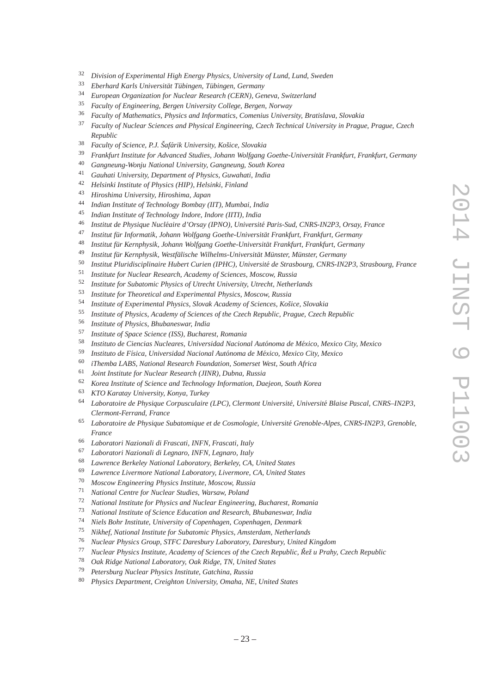- <span id="page-24-33"></span>*Division of Experimental High Energy Physics, University of Lund, Lund, Sweden*
- <span id="page-24-39"></span><sup>33</sup> Eberhard Karls Universität Tübingen, Tübingen, Germany
- <span id="page-24-13"></span>*European Organization for Nuclear Research (CERN), Geneva, Switzerland*
- <span id="page-24-7"></span>*Faculty of Engineering, Bergen University College, Bergen, Norway*
- <span id="page-24-44"></span>*Faculty of Mathematics, Physics and Informatics, Comenius University, Bratislava, Slovakia*
- <span id="page-24-1"></span> *Faculty of Nuclear Sciences and Physical Engineering, Czech Technical University in Prague, Prague, Czech Republic*
- <span id="page-24-28"></span>38 *Faculty of Science, P.J. Šafárik University, Košice, Slovakia <sup>39</sup> Facultose Institute for Advanced Studies Johann Welfame*
- <span id="page-24-8"></span>*Frankfurt Institute for Advanced Studies, Johann Wolfgang Goethe-Universit¨at Frankfurt, Frankfurt, Germany*
- <span id="page-24-16"></span>*Gangneung-Wonju National University, Gangneung, South Korea*
- <span id="page-24-24"></span>*Gauhati University, Department of Physics, Guwahati, India*
- <span id="page-24-47"></span>*Helsinki Institute of Physics (HIP), Helsinki, Finland*
- <span id="page-24-49"></span>*Hiroshima University, Hiroshima, Japan*
- <span id="page-24-4"></span>*Indian Institute of Technology Bombay (IIT), Mumbai, India*
- <span id="page-24-45"></span>*Indian Institute of Technology Indore, Indore (IITI), India*
- <span id="page-24-34"></span><sup>46</sup> Institut de Physique Nucléaire d'Orsay (IPNO), Université Paris-Sud, CNRS-IN2P3, Orsay, France
- <span id="page-24-31"></span><sup>47</sup> Institut für Informatik, Johann Wolfgang Goethe-Universität Frankfurt, Frankfurt, Germany
- <span id="page-24-11"></span><sup>48</sup> Institut für Kernphysik, Johann Wolfgang Goethe-Universität Frankfurt, Frankfurt, Germany
- <span id="page-24-10"></span><sup>49</sup> Institut für Kernphysik, Westfälische Wilhelms-Universität Münster, Münster, Germany
- <span id="page-24-20"></span><sup>50</sup> Institut Pluridisciplinaire Hubert Curien (IPHC), Université de Strasbourg, CNRS-IN2P3, Strasbourg, France
- <span id="page-24-38"></span>*Institute for Nuclear Research, Academy of Sciences, Moscow, Russia*
- <span id="page-24-23"></span>*Institute for Subatomic Physics of Utrecht University, Utrecht, Netherlands*
- <span id="page-24-6"></span>*Institute for Theoretical and Experimental Physics, Moscow, Russia*
- <span id="page-24-41"></span>Institute of Experimental Physics, Slovak Academy of Sciences, Košice, Slovakia
- <span id="page-24-40"></span>*Institute of Physics, Academy of Sciences of the Czech Republic, Prague, Czech Republic*
- <span id="page-24-17"></span>*Institute of Physics, Bhubaneswar, India*
- <span id="page-24-36"></span>*Institute of Space Science (ISS), Bucharest, Romania*
- <span id="page-24-35"></span>*Instituto de Ciencias Nucleares, Universidad Nacional Aut´onoma de M´exico, Mexico City, Mexico*
- <span id="page-24-21"></span>*Instituto de F´ısica, Universidad Nacional Aut´onoma de M´exico, Mexico City, Mexico*
- <span id="page-24-29"></span>*iThemba LABS, National Research Foundation, Somerset West, South Africa*
- <span id="page-24-18"></span>*Joint Institute for Nuclear Research (JINR), Dubna, Russia*
- <span id="page-24-5"></span>*Korea Institute of Science and Technology Information, Daejeon, South Korea*
- <span id="page-24-42"></span>*KTO Karatay University, Konya, Turkey*
- <span id="page-24-15"></span><sup>64</sup> Laboratoire de Physique Corpusculaire (LPC), Clermont Université, Université Blaise Pascal, CNRS–IN2P3, *Clermont-Ferrand, France*
- <span id="page-24-12"></span><sup>65</sup> Laboratoire de Physique Subatomique et de Cosmologie, Université Grenoble-Alpes, CNRS-IN2P3, Grenoble, *France*
- <span id="page-24-25"></span>*Laboratori Nazionali di Frascati, INFN, Frascati, Italy*
- <span id="page-24-48"></span>*Laboratori Nazionali di Legnaro, INFN, Legnaro, Italy*
- <span id="page-24-26"></span>*Lawrence Berkeley National Laboratory, Berkeley, CA, United States*
- <span id="page-24-0"></span>*Lawrence Livermore National Laboratory, Livermore, CA, United States*
- <span id="page-24-27"></span>*Moscow Engineering Physics Institute, Moscow, Russia*
- <span id="page-24-37"></span>*National Centre for Nuclear Studies, Warsaw, Poland*
- <span id="page-24-9"></span>*National Institute for Physics and Nuclear Engineering, Bucharest, Romania*
- <span id="page-24-46"></span>*National Institute of Science Education and Research, Bhubaneswar, India*
- <span id="page-24-19"></span>*Niels Bohr Institute, University of Copenhagen, Copenhagen, Denmark*
- <span id="page-24-30"></span>*Nikhef, National Institute for Subatomic Physics, Amsterdam, Netherlands*
- <span id="page-24-43"></span>*Nuclear Physics Group, STFC Daresbury Laboratory, Daresbury, United Kingdom*
- <span id="page-24-2"></span>*Nuclear Physics Institute, Academy of Sciences of the Czech Republic, Reˇz u Prahy, Czech Republic ˇ*
- <span id="page-24-14"></span>*Oak Ridge National Laboratory, Oak Ridge, TN, United States*
- <span id="page-24-22"></span>*Petersburg Nuclear Physics Institute, Gatchina, Russia*
- <span id="page-24-32"></span><span id="page-24-3"></span>*Physics Department, Creighton University, Omaha, NE, United States*